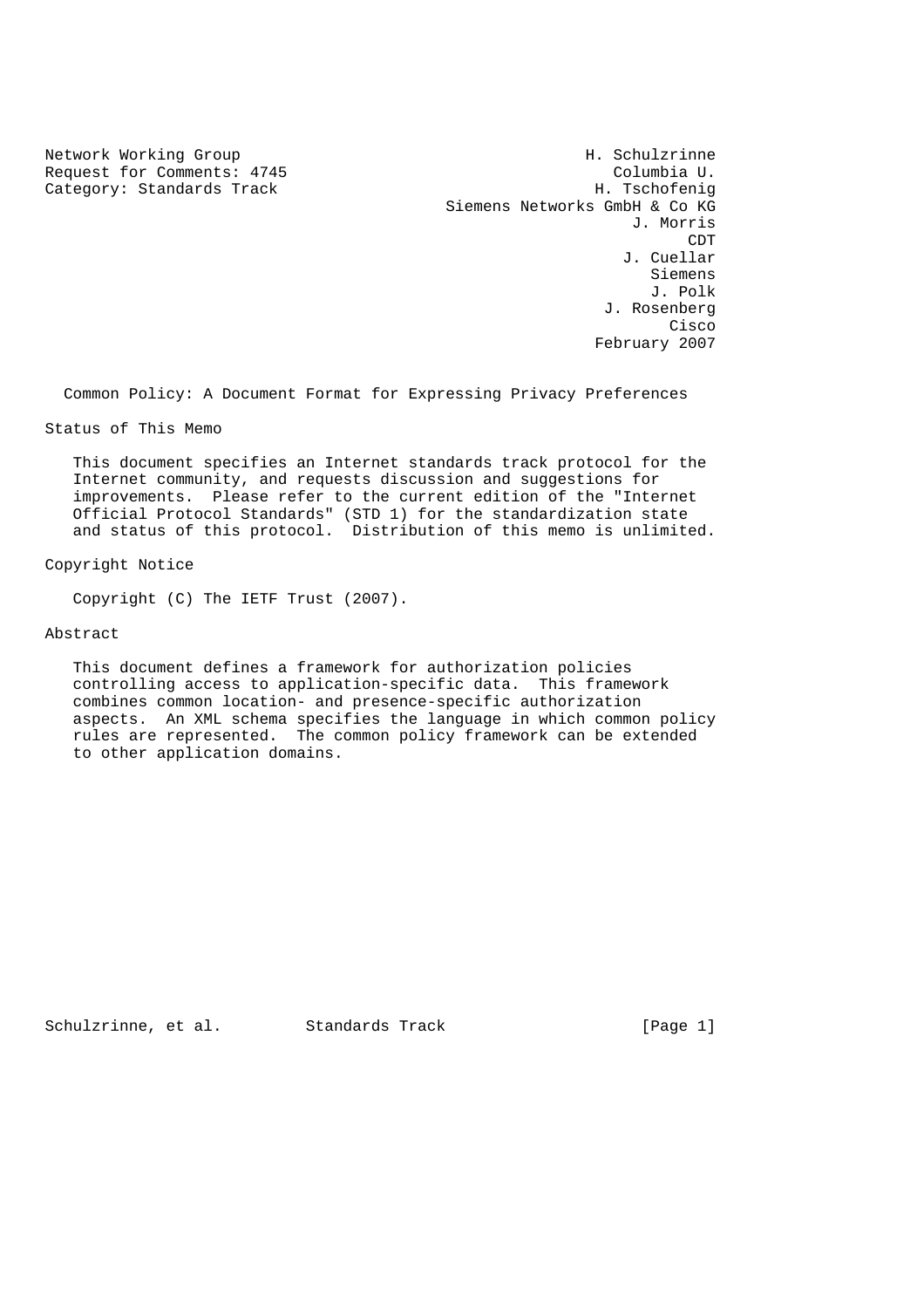Category: Standards Track

Network Working Group Network Working Group H. Schulzrinne Request for Comments: 4745 Columbia U.<br>
Category: Standards Track Category: Standards Track Siemens Networks GmbH & Co KG J. Morris **CDT CDT**  J. Cuellar Siemens J. Polk J. Rosenberg na de la constitución de la constitución de la constitución de la constitución de la constitución de la constitución de la constitución de la constitución de la constitución de la constitución de la constitución de la cons February 2007

Common Policy: A Document Format for Expressing Privacy Preferences

Status of This Memo

 This document specifies an Internet standards track protocol for the Internet community, and requests discussion and suggestions for improvements. Please refer to the current edition of the "Internet Official Protocol Standards" (STD 1) for the standardization state and status of this protocol. Distribution of this memo is unlimited.

Copyright Notice

Copyright (C) The IETF Trust (2007).

Abstract

 This document defines a framework for authorization policies controlling access to application-specific data. This framework combines common location- and presence-specific authorization aspects. An XML schema specifies the language in which common policy rules are represented. The common policy framework can be extended to other application domains.

Schulzrinne, et al. Standards Track [Page 1]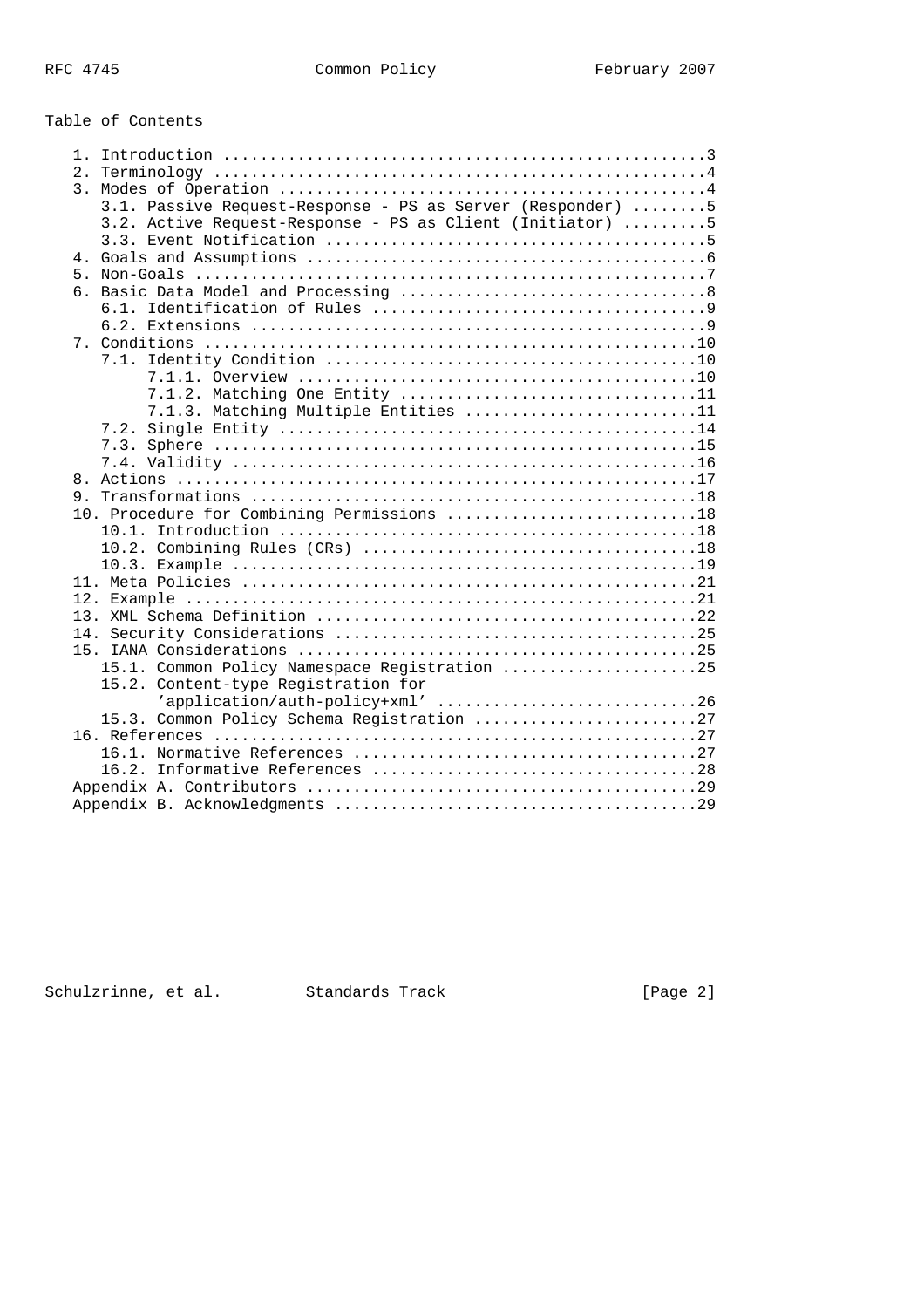# Table of Contents

| 3.1. Passive Request-Response - PS as Server (Responder) 5 |
|------------------------------------------------------------|
| 3.2. Active Request-Response - PS as Client (Initiator) 5  |
|                                                            |
|                                                            |
| 5.                                                         |
|                                                            |
|                                                            |
|                                                            |
|                                                            |
|                                                            |
|                                                            |
| 7.1.2. Matching One Entity 11                              |
| 7.1.3. Matching Multiple Entities 11                       |
|                                                            |
|                                                            |
|                                                            |
|                                                            |
|                                                            |
| 10. Procedure for Combining Permissions 18                 |
|                                                            |
|                                                            |
|                                                            |
|                                                            |
|                                                            |
|                                                            |
|                                                            |
|                                                            |
| 15.1. Common Policy Namespace Registration 25              |
| 15.2. Content-type Registration for                        |
| 'application/auth-policy+xml' 26                           |
| 15.3. Common Policy Schema Registration 27                 |
|                                                            |
|                                                            |
|                                                            |
|                                                            |
|                                                            |

Schulzrinne, et al. Standards Track [Page 2]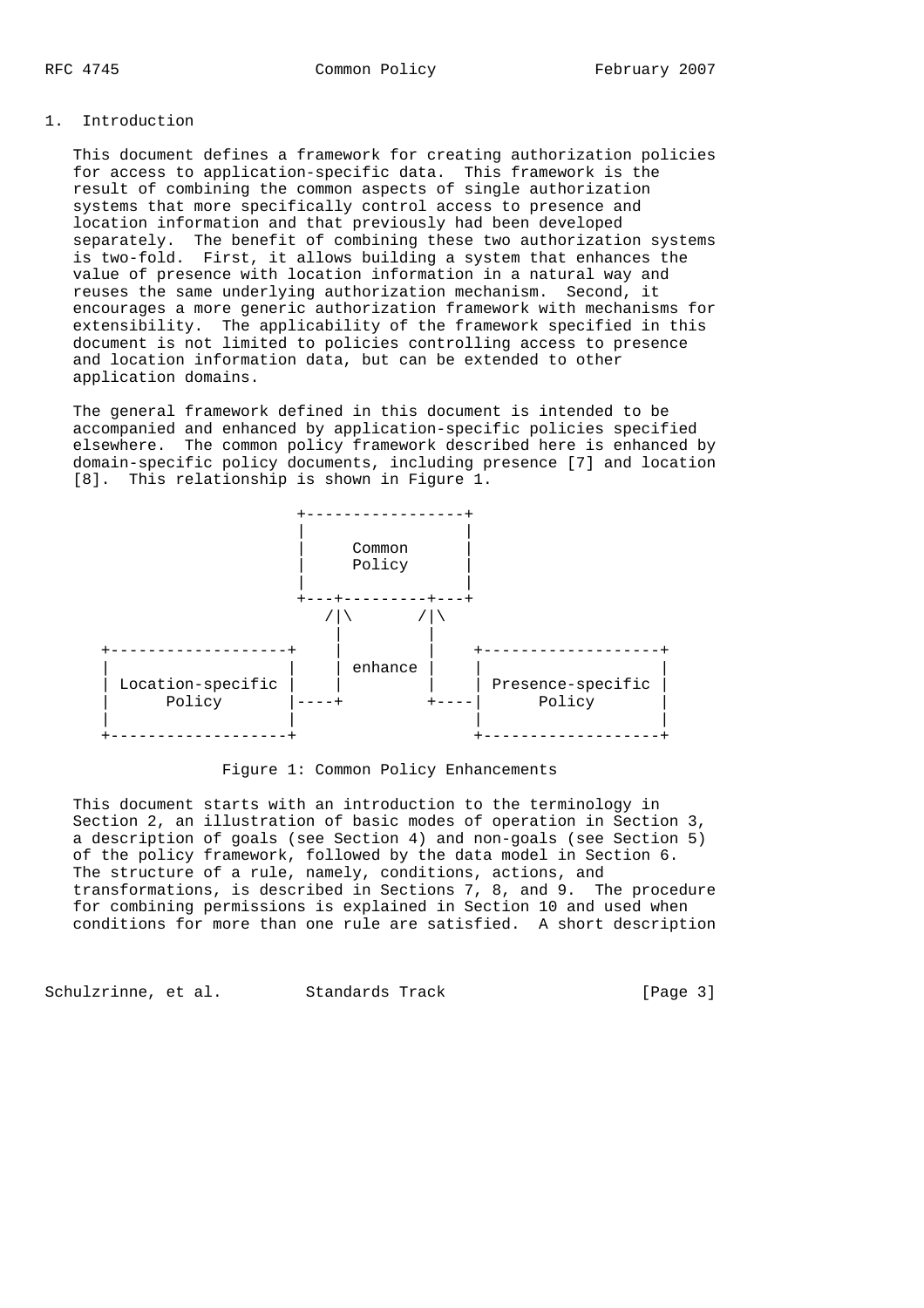## 1. Introduction

 This document defines a framework for creating authorization policies for access to application-specific data. This framework is the result of combining the common aspects of single authorization systems that more specifically control access to presence and location information and that previously had been developed separately. The benefit of combining these two authorization systems is two-fold. First, it allows building a system that enhances the value of presence with location information in a natural way and reuses the same underlying authorization mechanism. Second, it encourages a more generic authorization framework with mechanisms for extensibility. The applicability of the framework specified in this document is not limited to policies controlling access to presence and location information data, but can be extended to other application domains.

 The general framework defined in this document is intended to be accompanied and enhanced by application-specific policies specified elsewhere. The common policy framework described here is enhanced by domain-specific policy documents, including presence [7] and location [8]. This relationship is shown in Figure 1.



Figure 1: Common Policy Enhancements

 This document starts with an introduction to the terminology in Section 2, an illustration of basic modes of operation in Section 3, a description of goals (see Section 4) and non-goals (see Section 5) of the policy framework, followed by the data model in Section 6. The structure of a rule, namely, conditions, actions, and transformations, is described in Sections 7, 8, and 9. The procedure for combining permissions is explained in Section 10 and used when conditions for more than one rule are satisfied. A short description

Schulzrinne, et al. Standards Track [Page 3]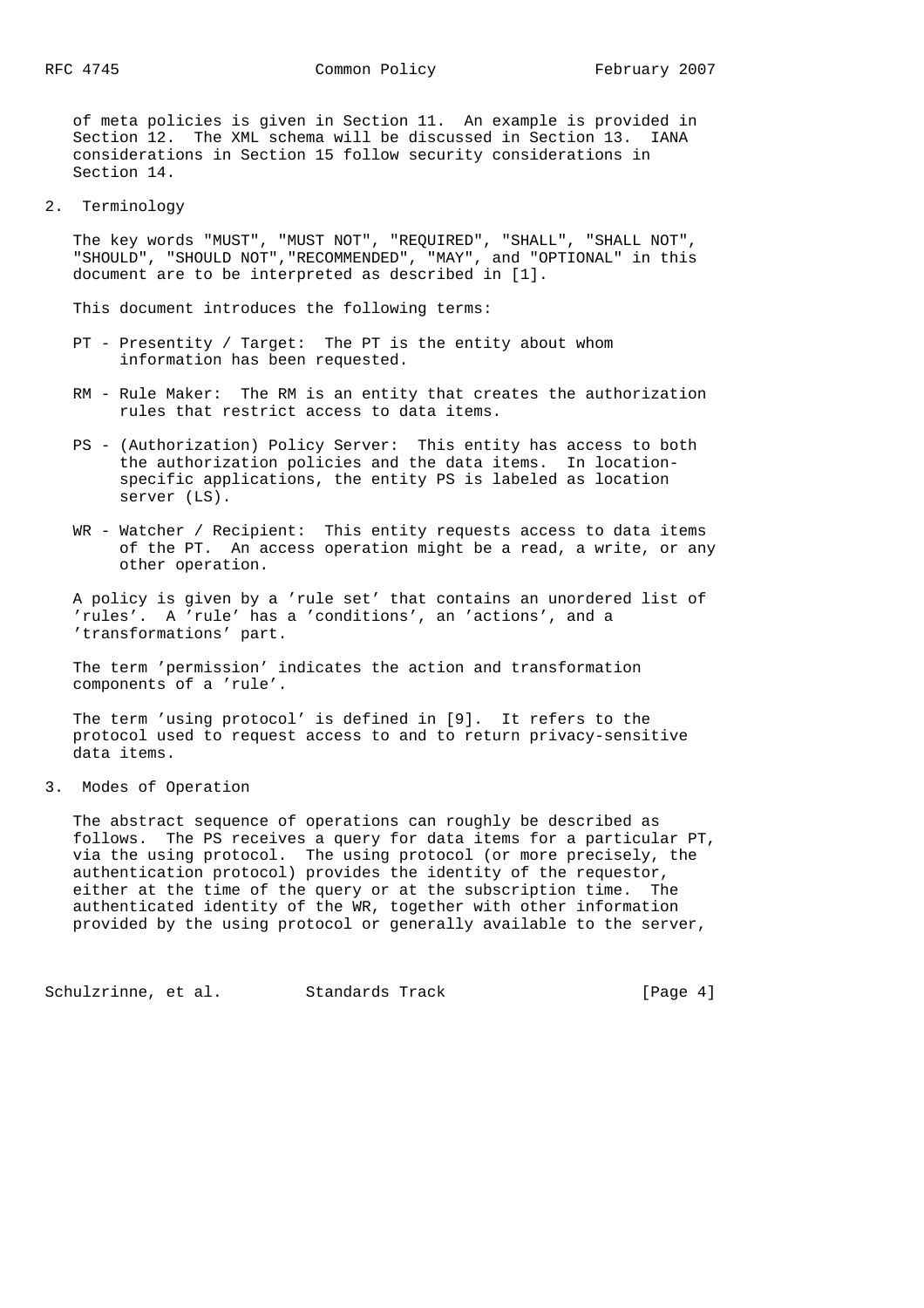of meta policies is given in Section 11. An example is provided in Section 12. The XML schema will be discussed in Section 13. IANA considerations in Section 15 follow security considerations in Section 14.

2. Terminology

 The key words "MUST", "MUST NOT", "REQUIRED", "SHALL", "SHALL NOT", "SHOULD", "SHOULD NOT","RECOMMENDED", "MAY", and "OPTIONAL" in this document are to be interpreted as described in [1].

This document introduces the following terms:

- PT Presentity / Target: The PT is the entity about whom information has been requested.
- RM Rule Maker: The RM is an entity that creates the authorization rules that restrict access to data items.
- PS (Authorization) Policy Server: This entity has access to both the authorization policies and the data items. In location specific applications, the entity PS is labeled as location server (LS).
- WR Watcher / Recipient: This entity requests access to data items of the PT. An access operation might be a read, a write, or any other operation.

 A policy is given by a 'rule set' that contains an unordered list of 'rules'. A 'rule' has a 'conditions', an 'actions', and a 'transformations' part.

 The term 'permission' indicates the action and transformation components of a 'rule'.

 The term 'using protocol' is defined in [9]. It refers to the protocol used to request access to and to return privacy-sensitive data items.

3. Modes of Operation

 The abstract sequence of operations can roughly be described as follows. The PS receives a query for data items for a particular PT, via the using protocol. The using protocol (or more precisely, the authentication protocol) provides the identity of the requestor, either at the time of the query or at the subscription time. The authenticated identity of the WR, together with other information provided by the using protocol or generally available to the server,

Schulzrinne, et al. Standards Track [Page 4]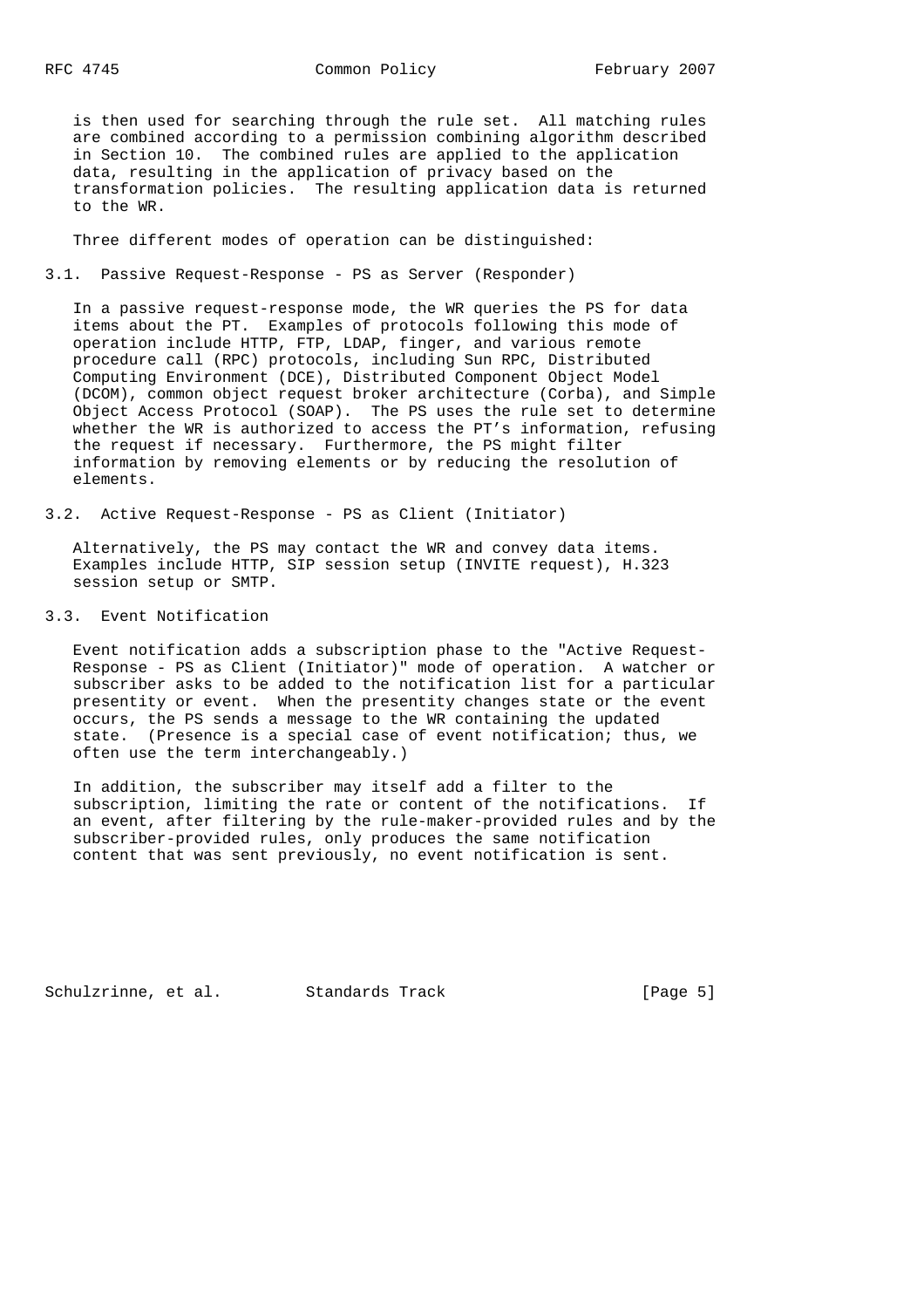is then used for searching through the rule set. All matching rules are combined according to a permission combining algorithm described in Section 10. The combined rules are applied to the application data, resulting in the application of privacy based on the transformation policies. The resulting application data is returned to the WR.

Three different modes of operation can be distinguished:

3.1. Passive Request-Response - PS as Server (Responder)

 In a passive request-response mode, the WR queries the PS for data items about the PT. Examples of protocols following this mode of operation include HTTP, FTP, LDAP, finger, and various remote procedure call (RPC) protocols, including Sun RPC, Distributed Computing Environment (DCE), Distributed Component Object Model (DCOM), common object request broker architecture (Corba), and Simple Object Access Protocol (SOAP). The PS uses the rule set to determine whether the WR is authorized to access the PT's information, refusing the request if necessary. Furthermore, the PS might filter information by removing elements or by reducing the resolution of elements.

3.2. Active Request-Response - PS as Client (Initiator)

 Alternatively, the PS may contact the WR and convey data items. Examples include HTTP, SIP session setup (INVITE request), H.323 session setup or SMTP.

3.3. Event Notification

 Event notification adds a subscription phase to the "Active Request- Response - PS as Client (Initiator)" mode of operation. A watcher or subscriber asks to be added to the notification list for a particular presentity or event. When the presentity changes state or the event occurs, the PS sends a message to the WR containing the updated state. (Presence is a special case of event notification; thus, we often use the term interchangeably.)

 In addition, the subscriber may itself add a filter to the subscription, limiting the rate or content of the notifications. If an event, after filtering by the rule-maker-provided rules and by the subscriber-provided rules, only produces the same notification content that was sent previously, no event notification is sent.

Schulzrinne, et al. Standards Track [Page 5]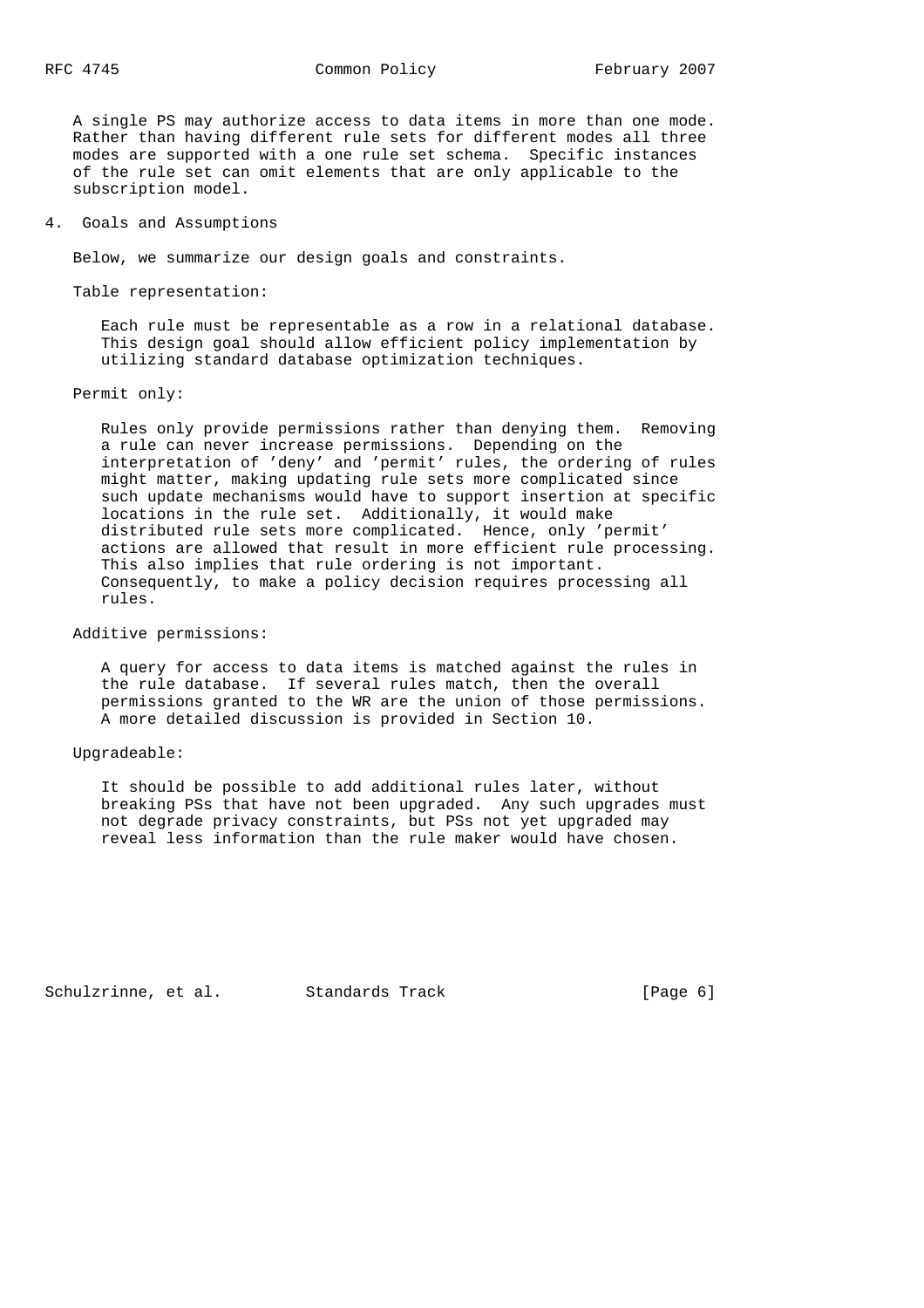A single PS may authorize access to data items in more than one mode. Rather than having different rule sets for different modes all three modes are supported with a one rule set schema. Specific instances of the rule set can omit elements that are only applicable to the subscription model.

4. Goals and Assumptions

Below, we summarize our design goals and constraints.

Table representation:

 Each rule must be representable as a row in a relational database. This design goal should allow efficient policy implementation by utilizing standard database optimization techniques.

### Permit only:

 Rules only provide permissions rather than denying them. Removing a rule can never increase permissions. Depending on the interpretation of 'deny' and 'permit' rules, the ordering of rules might matter, making updating rule sets more complicated since such update mechanisms would have to support insertion at specific locations in the rule set. Additionally, it would make distributed rule sets more complicated. Hence, only 'permit' actions are allowed that result in more efficient rule processing. This also implies that rule ordering is not important. Consequently, to make a policy decision requires processing all rules.

## Additive permissions:

 A query for access to data items is matched against the rules in the rule database. If several rules match, then the overall permissions granted to the WR are the union of those permissions. A more detailed discussion is provided in Section 10.

### Upgradeable:

 It should be possible to add additional rules later, without breaking PSs that have not been upgraded. Any such upgrades must not degrade privacy constraints, but PSs not yet upgraded may reveal less information than the rule maker would have chosen.

Schulzrinne, et al. Standards Track [Page 6]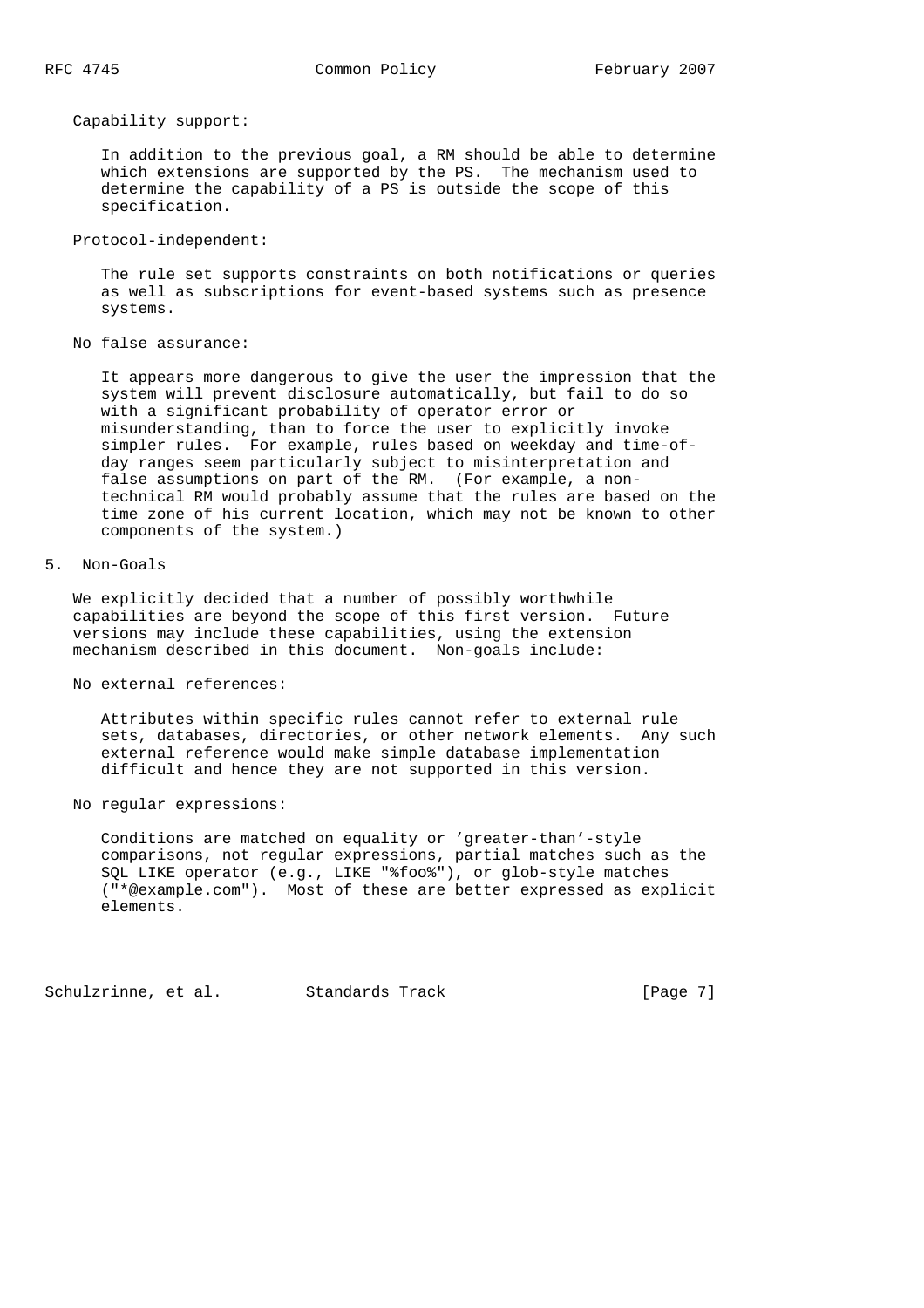Capability support:

 In addition to the previous goal, a RM should be able to determine which extensions are supported by the PS. The mechanism used to determine the capability of a PS is outside the scope of this specification.

Protocol-independent:

 The rule set supports constraints on both notifications or queries as well as subscriptions for event-based systems such as presence systems.

No false assurance:

 It appears more dangerous to give the user the impression that the system will prevent disclosure automatically, but fail to do so with a significant probability of operator error or misunderstanding, than to force the user to explicitly invoke simpler rules. For example, rules based on weekday and time-of day ranges seem particularly subject to misinterpretation and false assumptions on part of the RM. (For example, a non technical RM would probably assume that the rules are based on the time zone of his current location, which may not be known to other components of the system.)

5. Non-Goals

 We explicitly decided that a number of possibly worthwhile capabilities are beyond the scope of this first version. Future versions may include these capabilities, using the extension mechanism described in this document. Non-goals include:

No external references:

 Attributes within specific rules cannot refer to external rule sets, databases, directories, or other network elements. Any such external reference would make simple database implementation difficult and hence they are not supported in this version.

No regular expressions:

 Conditions are matched on equality or 'greater-than'-style comparisons, not regular expressions, partial matches such as the SQL LIKE operator (e.g., LIKE "%foo%"), or glob-style matches ("\*@example.com"). Most of these are better expressed as explicit elements.

Schulzrinne, et al. Standards Track [Page 7]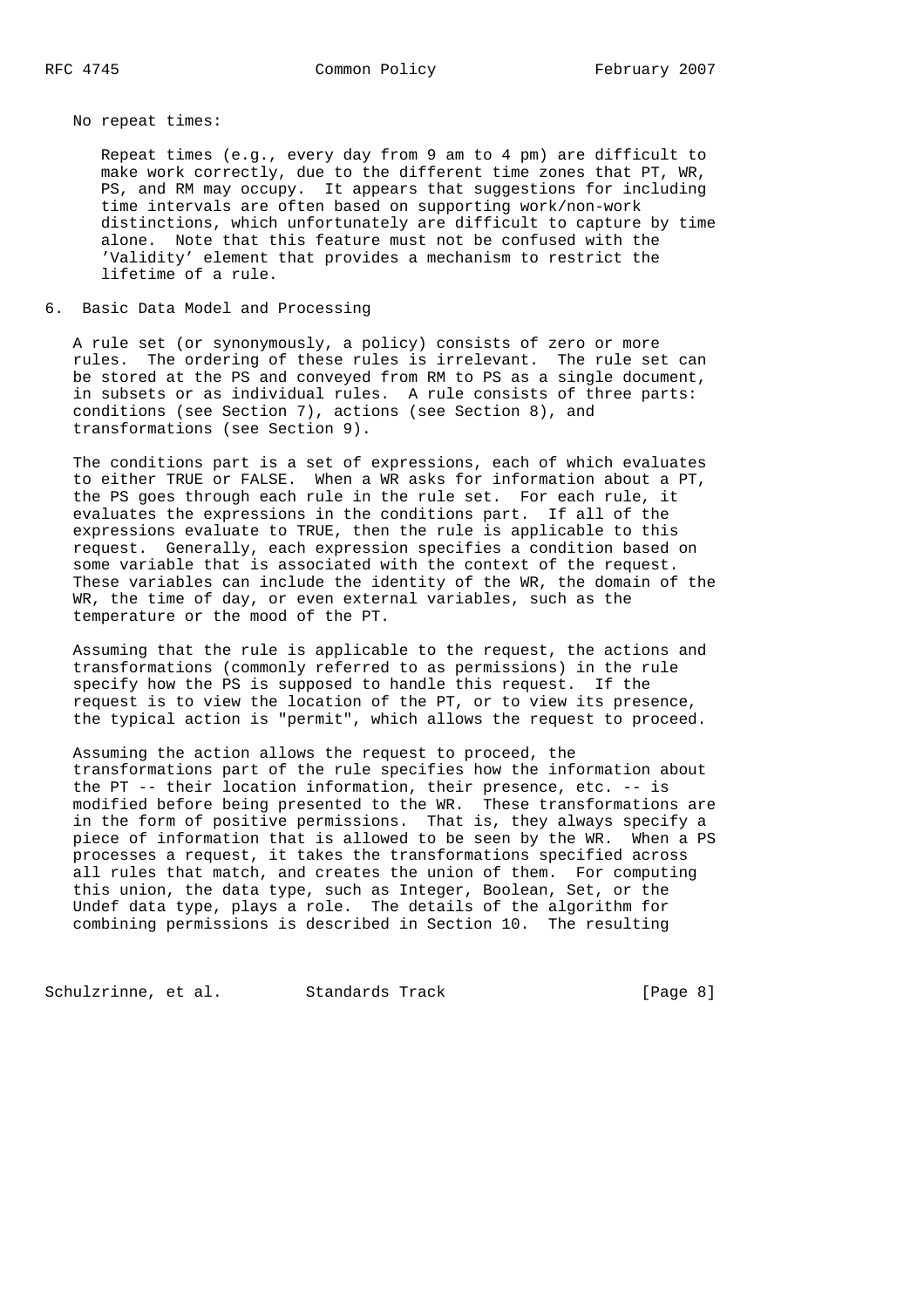No repeat times:

 Repeat times (e.g., every day from 9 am to 4 pm) are difficult to make work correctly, due to the different time zones that PT, WR, PS, and RM may occupy. It appears that suggestions for including time intervals are often based on supporting work/non-work distinctions, which unfortunately are difficult to capture by time alone. Note that this feature must not be confused with the 'Validity' element that provides a mechanism to restrict the lifetime of a rule.

6. Basic Data Model and Processing

 A rule set (or synonymously, a policy) consists of zero or more rules. The ordering of these rules is irrelevant. The rule set can be stored at the PS and conveyed from RM to PS as a single document, in subsets or as individual rules. A rule consists of three parts: conditions (see Section 7), actions (see Section 8), and transformations (see Section 9).

 The conditions part is a set of expressions, each of which evaluates to either TRUE or FALSE. When a WR asks for information about a PT, the PS goes through each rule in the rule set. For each rule, it evaluates the expressions in the conditions part. If all of the expressions evaluate to TRUE, then the rule is applicable to this request. Generally, each expression specifies a condition based on some variable that is associated with the context of the request. These variables can include the identity of the WR, the domain of the WR, the time of day, or even external variables, such as the temperature or the mood of the PT.

 Assuming that the rule is applicable to the request, the actions and transformations (commonly referred to as permissions) in the rule specify how the PS is supposed to handle this request. If the request is to view the location of the PT, or to view its presence, the typical action is "permit", which allows the request to proceed.

 Assuming the action allows the request to proceed, the transformations part of the rule specifies how the information about the PT -- their location information, their presence, etc. -- is modified before being presented to the WR. These transformations are in the form of positive permissions. That is, they always specify a piece of information that is allowed to be seen by the WR. When a PS processes a request, it takes the transformations specified across all rules that match, and creates the union of them. For computing this union, the data type, such as Integer, Boolean, Set, or the Undef data type, plays a role. The details of the algorithm for combining permissions is described in Section 10. The resulting

Schulzrinne, et al. Standards Track [Page 8]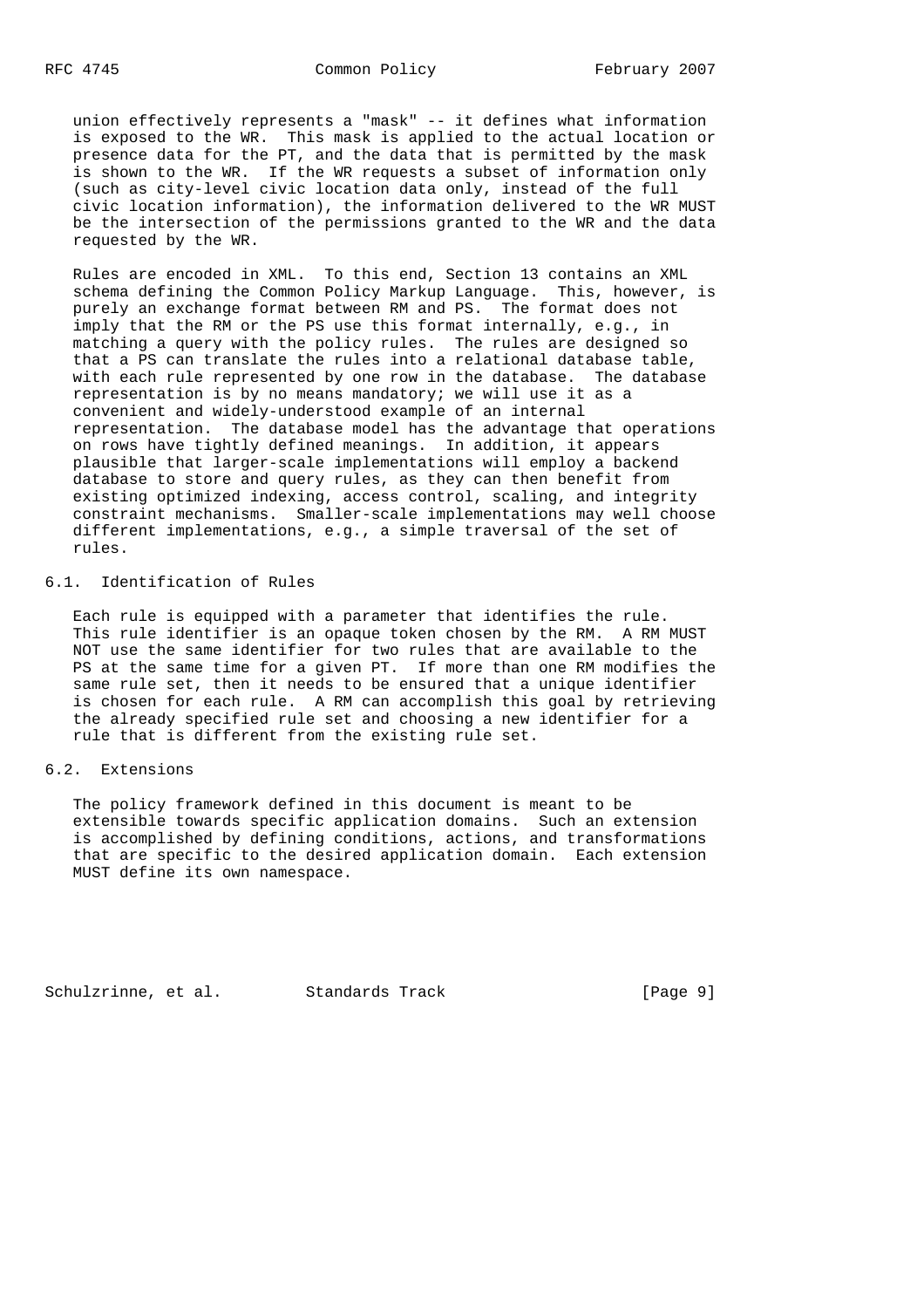union effectively represents a "mask" -- it defines what information is exposed to the WR. This mask is applied to the actual location or presence data for the PT, and the data that is permitted by the mask is shown to the WR. If the WR requests a subset of information only (such as city-level civic location data only, instead of the full civic location information), the information delivered to the WR MUST be the intersection of the permissions granted to the WR and the data requested by the WR.

 Rules are encoded in XML. To this end, Section 13 contains an XML schema defining the Common Policy Markup Language. This, however, is purely an exchange format between RM and PS. The format does not imply that the RM or the PS use this format internally, e.g., in matching a query with the policy rules. The rules are designed so that a PS can translate the rules into a relational database table, with each rule represented by one row in the database. The database representation is by no means mandatory; we will use it as a convenient and widely-understood example of an internal representation. The database model has the advantage that operations on rows have tightly defined meanings. In addition, it appears plausible that larger-scale implementations will employ a backend database to store and query rules, as they can then benefit from existing optimized indexing, access control, scaling, and integrity constraint mechanisms. Smaller-scale implementations may well choose different implementations, e.g., a simple traversal of the set of rules.

# 6.1. Identification of Rules

 Each rule is equipped with a parameter that identifies the rule. This rule identifier is an opaque token chosen by the RM. A RM MUST NOT use the same identifier for two rules that are available to the PS at the same time for a given PT. If more than one RM modifies the same rule set, then it needs to be ensured that a unique identifier is chosen for each rule. A RM can accomplish this goal by retrieving the already specified rule set and choosing a new identifier for a rule that is different from the existing rule set.

## 6.2. Extensions

 The policy framework defined in this document is meant to be extensible towards specific application domains. Such an extension is accomplished by defining conditions, actions, and transformations that are specific to the desired application domain. Each extension MUST define its own namespace.

Schulzrinne, et al. Standards Track [Page 9]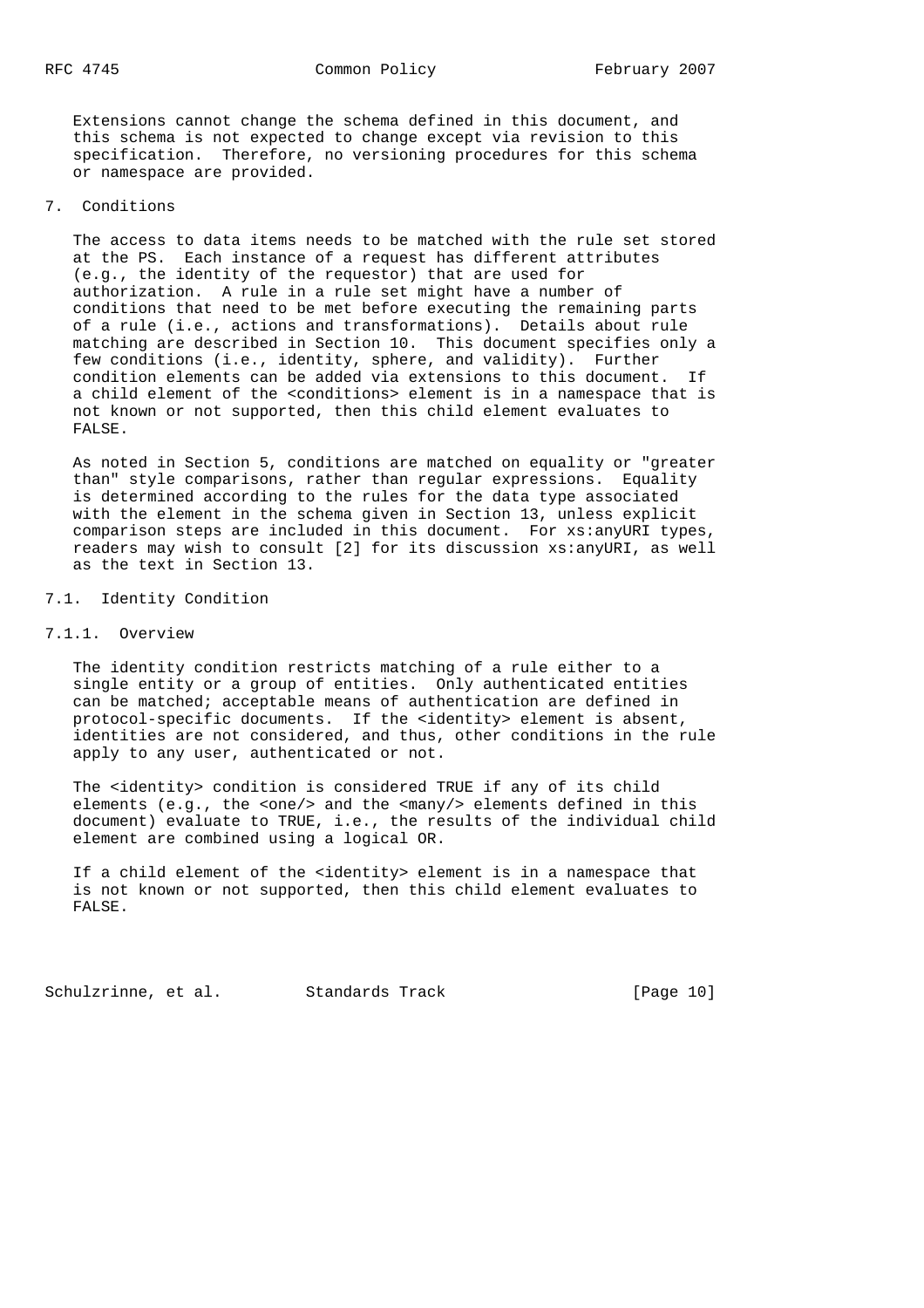Extensions cannot change the schema defined in this document, and this schema is not expected to change except via revision to this specification. Therefore, no versioning procedures for this schema or namespace are provided.

### 7. Conditions

 The access to data items needs to be matched with the rule set stored at the PS. Each instance of a request has different attributes (e.g., the identity of the requestor) that are used for authorization. A rule in a rule set might have a number of conditions that need to be met before executing the remaining parts of a rule (i.e., actions and transformations). Details about rule matching are described in Section 10. This document specifies only a few conditions (i.e., identity, sphere, and validity). Further condition elements can be added via extensions to this document. If a child element of the <conditions> element is in a namespace that is not known or not supported, then this child element evaluates to FALSE.

 As noted in Section 5, conditions are matched on equality or "greater than" style comparisons, rather than regular expressions. Equality is determined according to the rules for the data type associated with the element in the schema given in Section 13, unless explicit comparison steps are included in this document. For xs:anyURI types, readers may wish to consult [2] for its discussion xs:anyURI, as well as the text in Section 13.

## 7.1. Identity Condition

## 7.1.1. Overview

 The identity condition restricts matching of a rule either to a single entity or a group of entities. Only authenticated entities can be matched; acceptable means of authentication are defined in protocol-specific documents. If the <identity> element is absent, identities are not considered, and thus, other conditions in the rule apply to any user, authenticated or not.

 The <identity> condition is considered TRUE if any of its child elements (e.g., the <one/> and the <many/> elements defined in this document) evaluate to TRUE, i.e., the results of the individual child element are combined using a logical OR.

If a child element of the <identity> element is in a namespace that is not known or not supported, then this child element evaluates to FALSE.

Schulzrinne, et al. Standards Track [Page 10]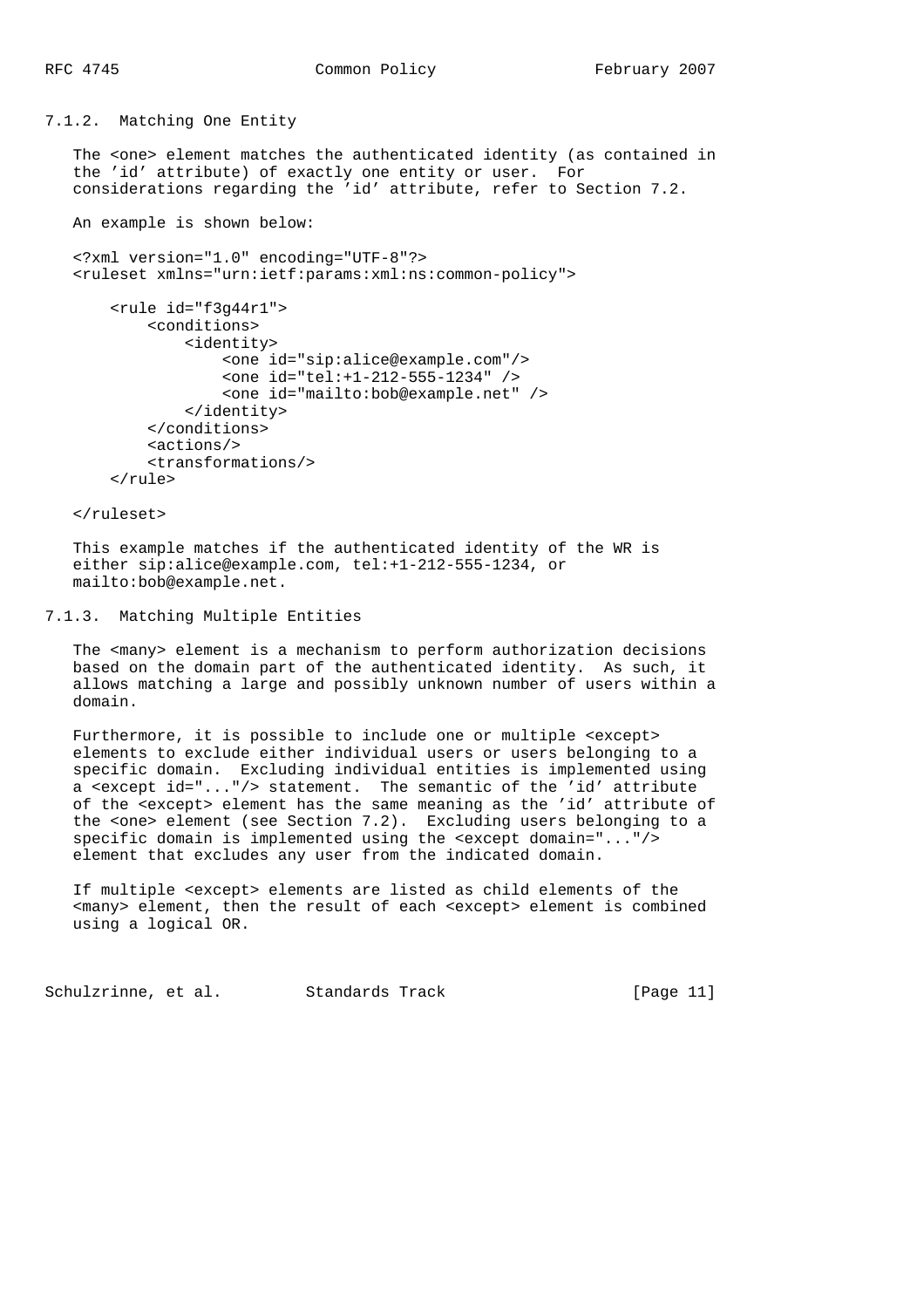7.1.2. Matching One Entity

 The <one> element matches the authenticated identity (as contained in the 'id' attribute) of exactly one entity or user. For considerations regarding the 'id' attribute, refer to Section 7.2.

An example is shown below:

 <?xml version="1.0" encoding="UTF-8"?> <ruleset xmlns="urn:ietf:params:xml:ns:common-policy">

```
 <rule id="f3g44r1">
     <conditions>
         <identity>
              <one id="sip:alice@example.com"/>
              <one id="tel:+1-212-555-1234" />
              <one id="mailto:bob@example.net" />
         </identity>
     </conditions>
     <actions/>
     <transformations/>
```
</rule>

</ruleset>

 This example matches if the authenticated identity of the WR is either sip:alice@example.com, tel:+1-212-555-1234, or mailto:bob@example.net.

## 7.1.3. Matching Multiple Entities

The <many> element is a mechanism to perform authorization decisions based on the domain part of the authenticated identity. As such, it allows matching a large and possibly unknown number of users within a domain.

 Furthermore, it is possible to include one or multiple <except> elements to exclude either individual users or users belonging to a specific domain. Excluding individual entities is implemented using a <except id="..."/> statement. The semantic of the 'id' attribute of the <except> element has the same meaning as the 'id' attribute of the <one> element (see Section 7.2). Excluding users belonging to a specific domain is implemented using the <except domain="..."/> element that excludes any user from the indicated domain.

 If multiple <except> elements are listed as child elements of the <many> element, then the result of each <except> element is combined using a logical OR.

Schulzrinne, et al. Standards Track [Page 11]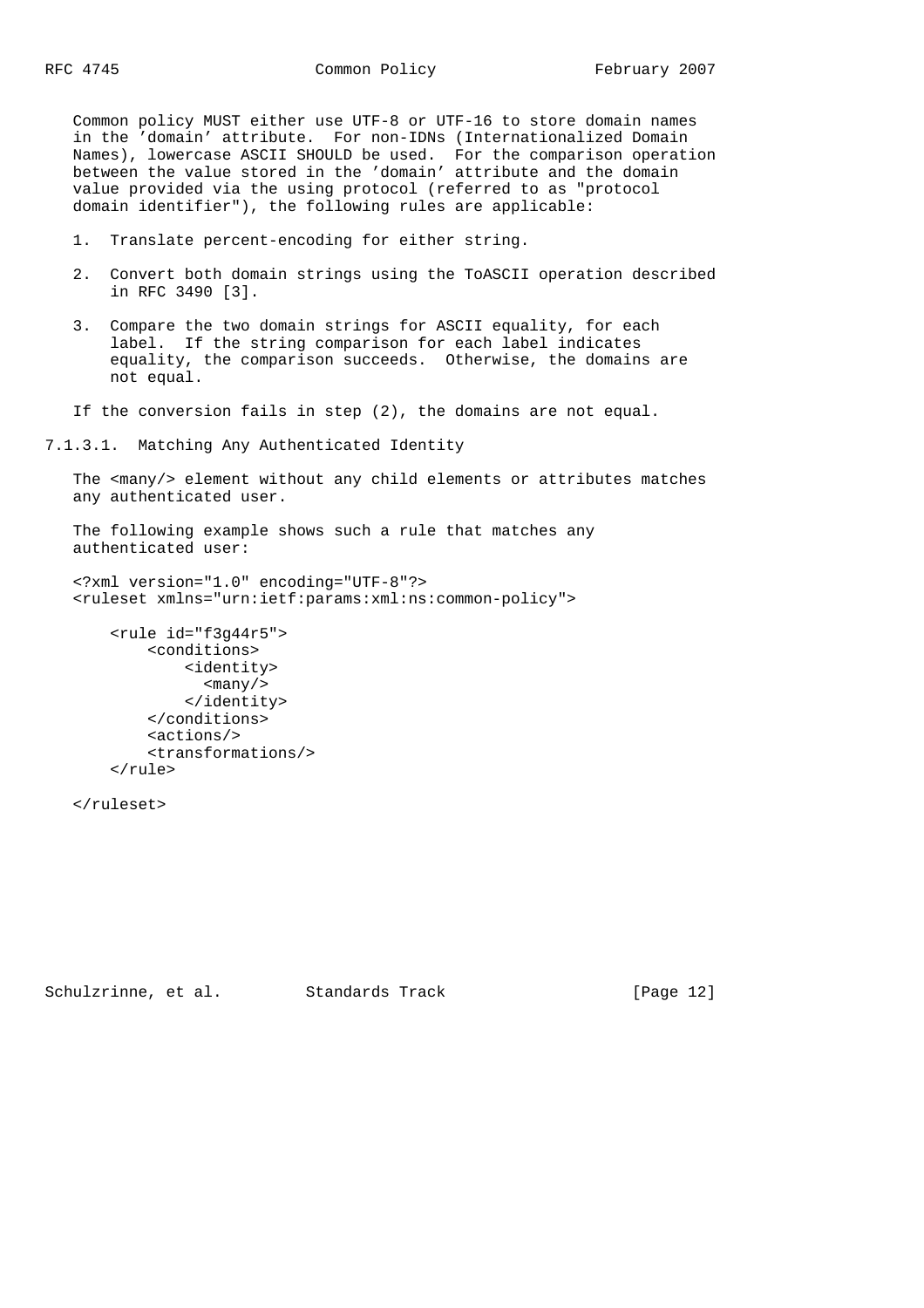Common policy MUST either use UTF-8 or UTF-16 to store domain names in the 'domain' attribute. For non-IDNs (Internationalized Domain Names), lowercase ASCII SHOULD be used. For the comparison operation between the value stored in the 'domain' attribute and the domain value provided via the using protocol (referred to as "protocol domain identifier"), the following rules are applicable:

- 1. Translate percent-encoding for either string.
- 2. Convert both domain strings using the ToASCII operation described in RFC 3490 [3].
- 3. Compare the two domain strings for ASCII equality, for each label. If the string comparison for each label indicates equality, the comparison succeeds. Otherwise, the domains are not equal.
- If the conversion fails in step (2), the domains are not equal.

7.1.3.1. Matching Any Authenticated Identity

 The <many/> element without any child elements or attributes matches any authenticated user.

 The following example shows such a rule that matches any authenticated user:

```
 <?xml version="1.0" encoding="UTF-8"?>
 <ruleset xmlns="urn:ietf:params:xml:ns:common-policy">
```

```
 <rule id="f3g44r5">
     <conditions>
         <identity>
           <many/>
         </identity>
     </conditions>
     <actions/>
     <transformations/>
 </rule>
```
</ruleset>

Schulzrinne, et al. Standards Track [Page 12]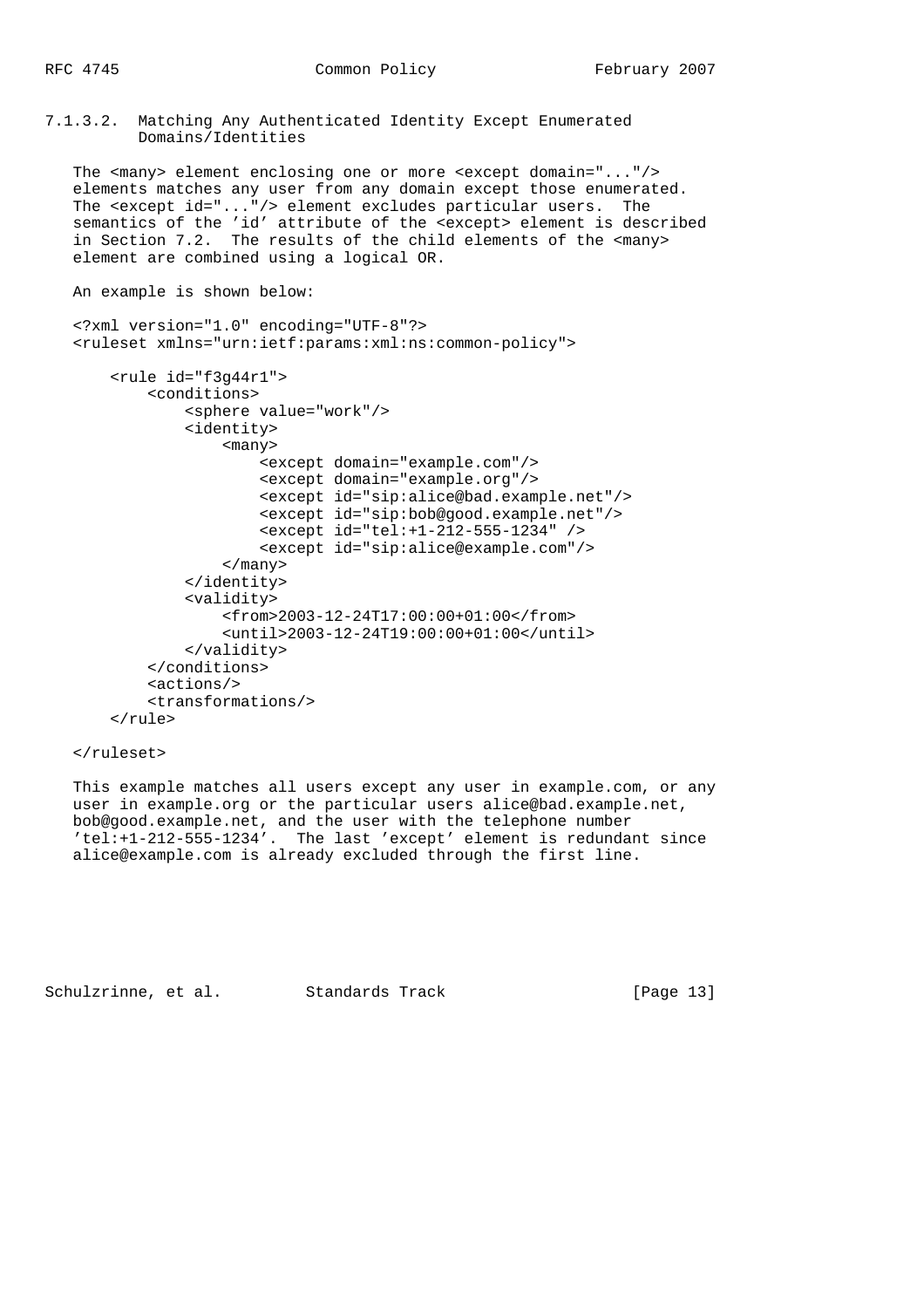7.1.3.2. Matching Any Authenticated Identity Except Enumerated Domains/Identities

The <many> element enclosing one or more <except domain="..."/> elements matches any user from any domain except those enumerated. The <except id="..."/> element excludes particular users. The semantics of the 'id' attribute of the <except> element is described in Section 7.2. The results of the child elements of the <many> element are combined using a logical OR.

```
 An example is shown below:
```

```
 <?xml version="1.0" encoding="UTF-8"?>
 <ruleset xmlns="urn:ietf:params:xml:ns:common-policy">
```

```
 <rule id="f3g44r1">
     <conditions>
         <sphere value="work"/>
         <identity>
             <many>
                  <except domain="example.com"/>
                  <except domain="example.org"/>
                  <except id="sip:alice@bad.example.net"/>
                  <except id="sip:bob@good.example.net"/>
                  <except id="tel:+1-212-555-1234" />
                  <except id="sip:alice@example.com"/>
             </many>
         </identity>
         <validity>
             <from>2003-12-24T17:00:00+01:00</from>
             <until>2003-12-24T19:00:00+01:00</until>
         </validity>
     </conditions>
     <actions/>
     <transformations/>
 </rule>
```
#### </ruleset>

 This example matches all users except any user in example.com, or any user in example.org or the particular users alice@bad.example.net, bob@good.example.net, and the user with the telephone number 'tel:+1-212-555-1234'. The last 'except' element is redundant since alice@example.com is already excluded through the first line.

Schulzrinne, et al. Standards Track [Page 13]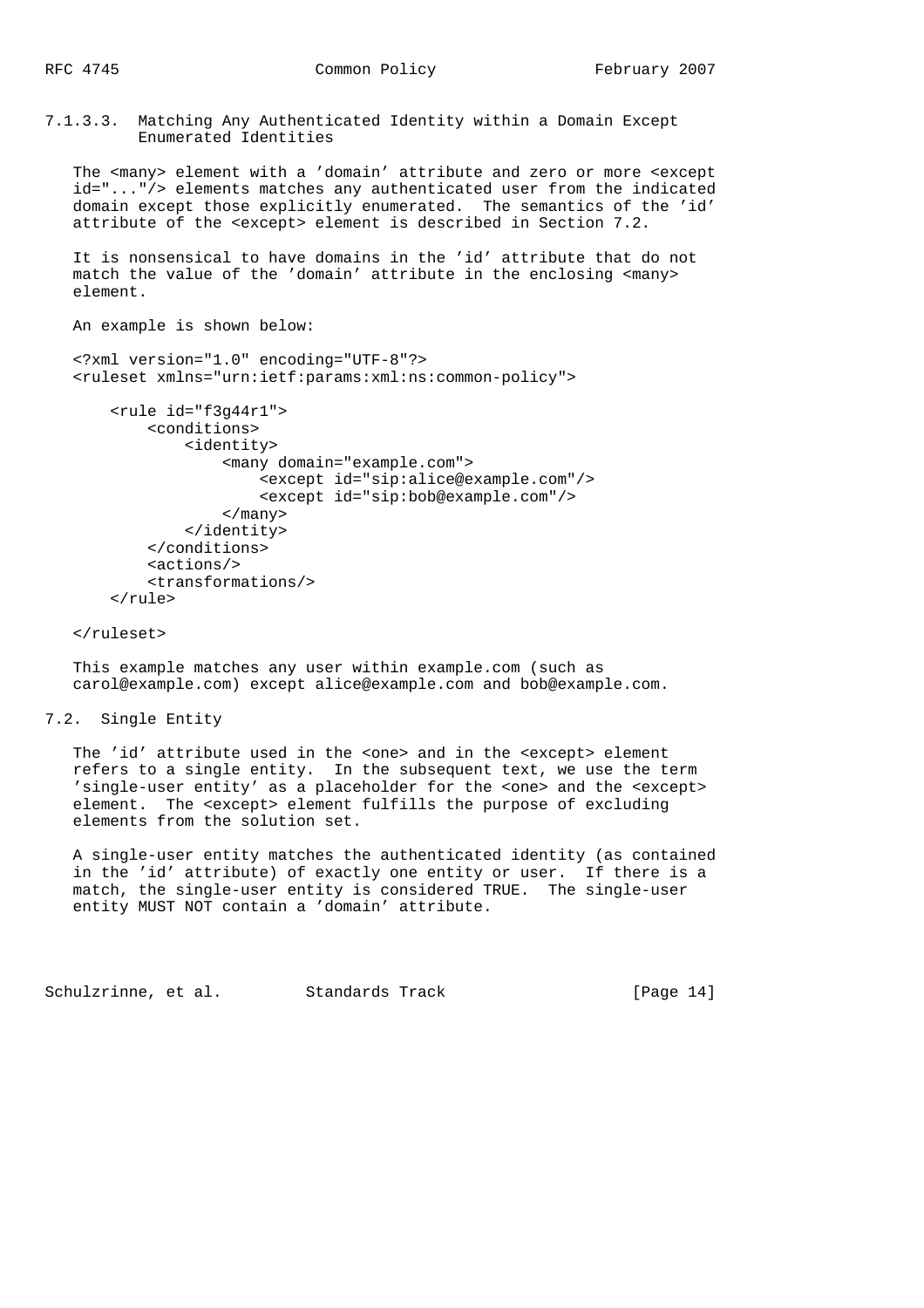7.1.3.3. Matching Any Authenticated Identity within a Domain Except Enumerated Identities

 The <many> element with a 'domain' attribute and zero or more <except id="..."/> elements matches any authenticated user from the indicated domain except those explicitly enumerated. The semantics of the 'id' attribute of the <except> element is described in Section 7.2.

 It is nonsensical to have domains in the 'id' attribute that do not match the value of the 'domain' attribute in the enclosing <many> element.

An example is shown below:

 <?xml version="1.0" encoding="UTF-8"?> <ruleset xmlns="urn:ietf:params:xml:ns:common-policy">

```
 <rule id="f3g44r1">
     <conditions>
         <identity>
              <many domain="example.com">
                  <except id="sip:alice@example.com"/>
                  <except id="sip:bob@example.com"/>
              </many>
          </identity>
     </conditions>
     <actions/>
     <transformations/>
\langlerule>
```
</ruleset>

 This example matches any user within example.com (such as carol@example.com) except alice@example.com and bob@example.com.

7.2. Single Entity

The 'id' attribute used in the <one> and in the <except> element refers to a single entity. In the subsequent text, we use the term 'single-user entity' as a placeholder for the <one> and the <except> element. The <except> element fulfills the purpose of excluding elements from the solution set.

 A single-user entity matches the authenticated identity (as contained in the 'id' attribute) of exactly one entity or user. If there is a match, the single-user entity is considered TRUE. The single-user entity MUST NOT contain a 'domain' attribute.

Schulzrinne, et al. Standards Track [Page 14]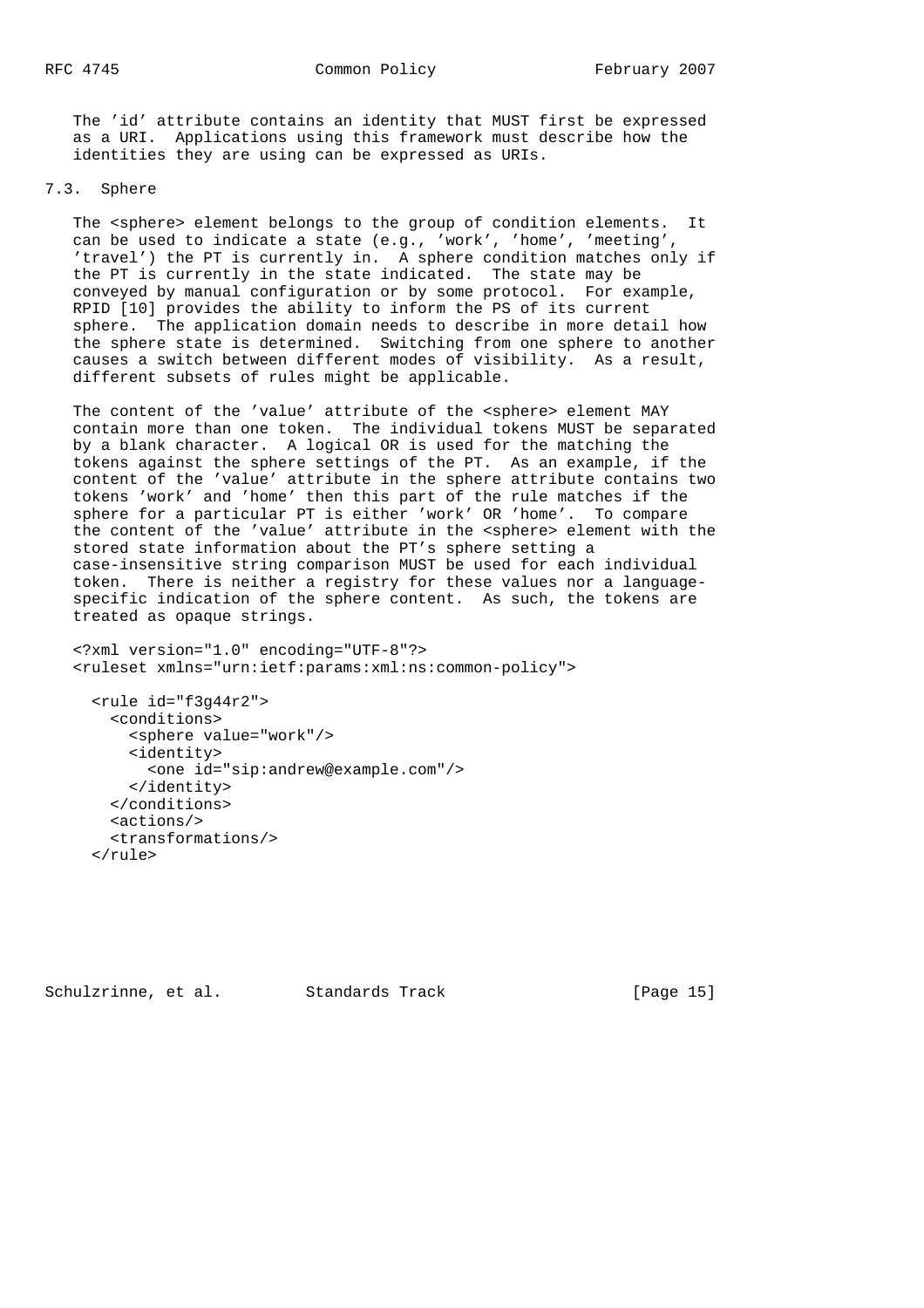The 'id' attribute contains an identity that MUST first be expressed as a URI. Applications using this framework must describe how the identities they are using can be expressed as URIs.

# 7.3. Sphere

The <sphere> element belongs to the group of condition elements. It can be used to indicate a state (e.g., 'work', 'home', 'meeting', 'travel') the PT is currently in. A sphere condition matches only if the PT is currently in the state indicated. The state may be conveyed by manual configuration or by some protocol. For example, RPID [10] provides the ability to inform the PS of its current sphere. The application domain needs to describe in more detail how the sphere state is determined. Switching from one sphere to another causes a switch between different modes of visibility. As a result, different subsets of rules might be applicable.

The content of the 'value' attribute of the <sphere> element MAY contain more than one token. The individual tokens MUST be separated by a blank character. A logical OR is used for the matching the tokens against the sphere settings of the PT. As an example, if the content of the 'value' attribute in the sphere attribute contains two tokens 'work' and 'home' then this part of the rule matches if the sphere for a particular PT is either 'work' OR 'home'. To compare the content of the 'value' attribute in the <sphere> element with the stored state information about the PT's sphere setting a case-insensitive string comparison MUST be used for each individual token. There is neither a registry for these values nor a language specific indication of the sphere content. As such, the tokens are treated as opaque strings.

```
 <?xml version="1.0" encoding="UTF-8"?>
 <ruleset xmlns="urn:ietf:params:xml:ns:common-policy">
```

```
 <rule id="f3g44r2">
   <conditions>
     <sphere value="work"/>
     <identity>
       <one id="sip:andrew@example.com"/>
     </identity>
   </conditions>
   <actions/>
   <transformations/>
 </rule>
```
Schulzrinne, et al. Standards Track [Page 15]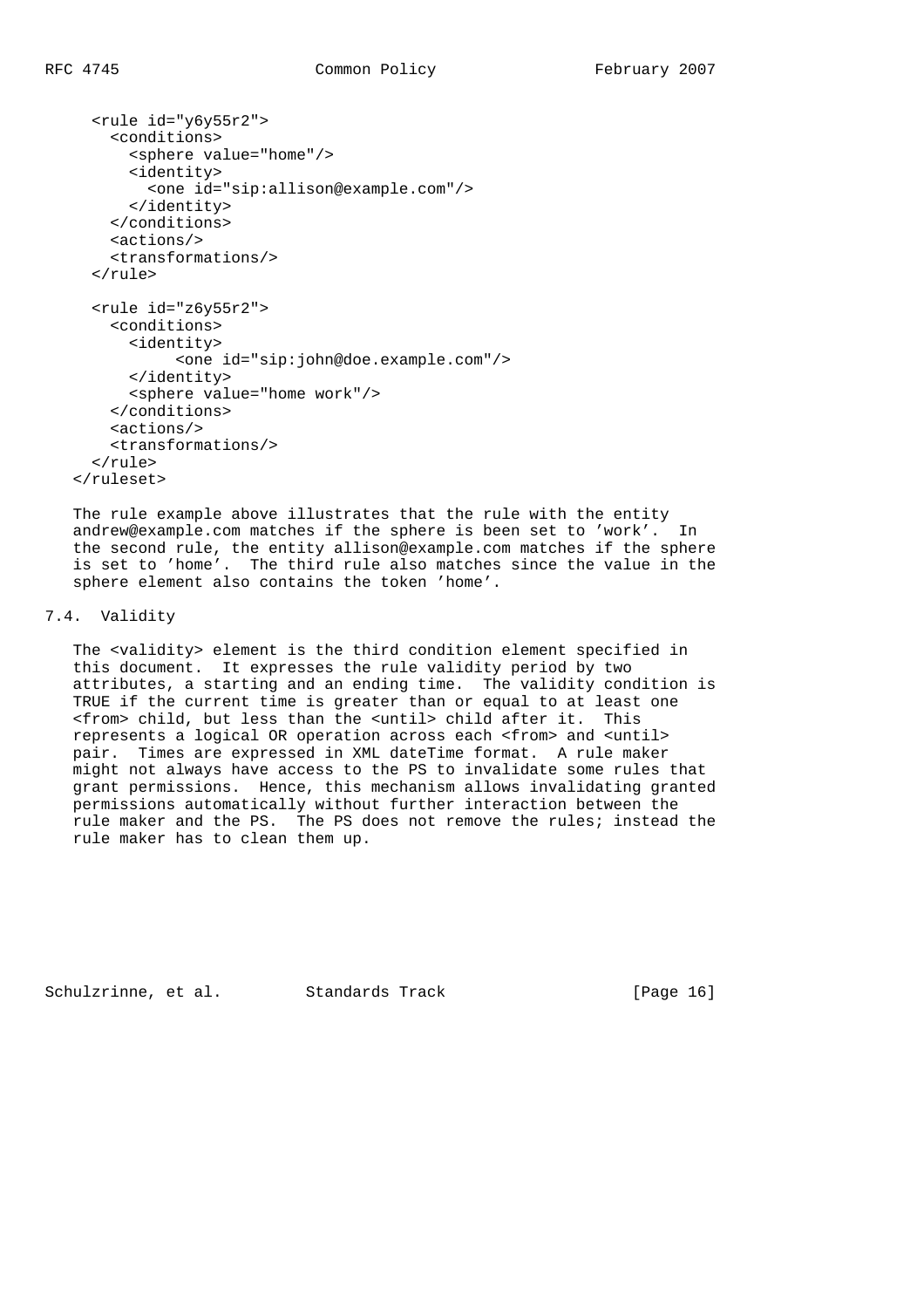```
 <rule id="y6y55r2">
     <conditions>
       <sphere value="home"/>
       <identity>
         <one id="sip:allison@example.com"/>
       </identity>
     </conditions>
     <actions/>
     <transformations/>
   </rule>
   <rule id="z6y55r2">
    <conditions>
       <identity>
            <one id="sip:john@doe.example.com"/>
       </identity>
       <sphere value="home work"/>
     </conditions>
     <actions/>
    <transformations/>
   </rule>
 </ruleset>
```
 The rule example above illustrates that the rule with the entity andrew@example.com matches if the sphere is been set to 'work'. In the second rule, the entity allison@example.com matches if the sphere is set to 'home'. The third rule also matches since the value in the sphere element also contains the token 'home'.

## 7.4. Validity

 The <validity> element is the third condition element specified in this document. It expresses the rule validity period by two attributes, a starting and an ending time. The validity condition is TRUE if the current time is greater than or equal to at least one <from> child, but less than the <until> child after it. This represents a logical OR operation across each <from> and <until> pair. Times are expressed in XML dateTime format. A rule maker might not always have access to the PS to invalidate some rules that grant permissions. Hence, this mechanism allows invalidating granted permissions automatically without further interaction between the rule maker and the PS. The PS does not remove the rules; instead the rule maker has to clean them up.

Schulzrinne, et al. Standards Track [Page 16]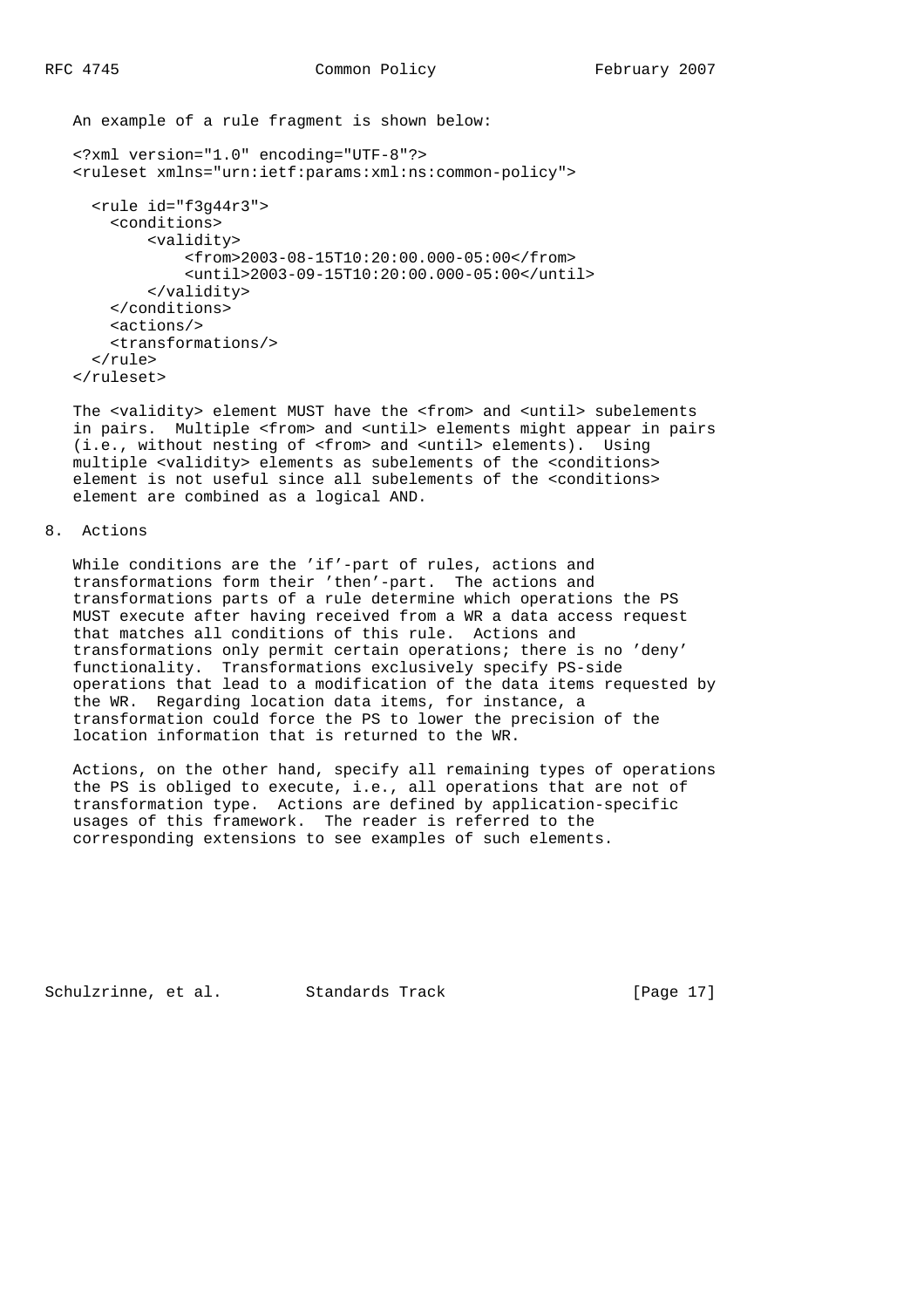An example of a rule fragment is shown below:

```
 <?xml version="1.0" encoding="UTF-8"?>
 <ruleset xmlns="urn:ietf:params:xml:ns:common-policy">
   <rule id="f3g44r3">
    <conditions>
         <validity>
              <from>2003-08-15T10:20:00.000-05:00</from>
              <until>2003-09-15T10:20:00.000-05:00</until>
         </validity>
     </conditions>
     <actions/>
     <transformations/>
  \langlerule>
 </ruleset>
```
The <validity> element MUST have the <from> and <until> subelements in pairs. Multiple <from> and <until> elements might appear in pairs (i.e., without nesting of <from> and <until> elements). Using multiple <validity> elements as subelements of the <conditions> element is not useful since all subelements of the <conditions> element are combined as a logical AND.

8. Actions

 While conditions are the 'if'-part of rules, actions and transformations form their 'then'-part. The actions and transformations parts of a rule determine which operations the PS MUST execute after having received from a WR a data access request that matches all conditions of this rule. Actions and transformations only permit certain operations; there is no 'deny' functionality. Transformations exclusively specify PS-side operations that lead to a modification of the data items requested by the WR. Regarding location data items, for instance, a transformation could force the PS to lower the precision of the location information that is returned to the WR.

 Actions, on the other hand, specify all remaining types of operations the PS is obliged to execute, i.e., all operations that are not of transformation type. Actions are defined by application-specific usages of this framework. The reader is referred to the corresponding extensions to see examples of such elements.

Schulzrinne, et al. Standards Track [Page 17]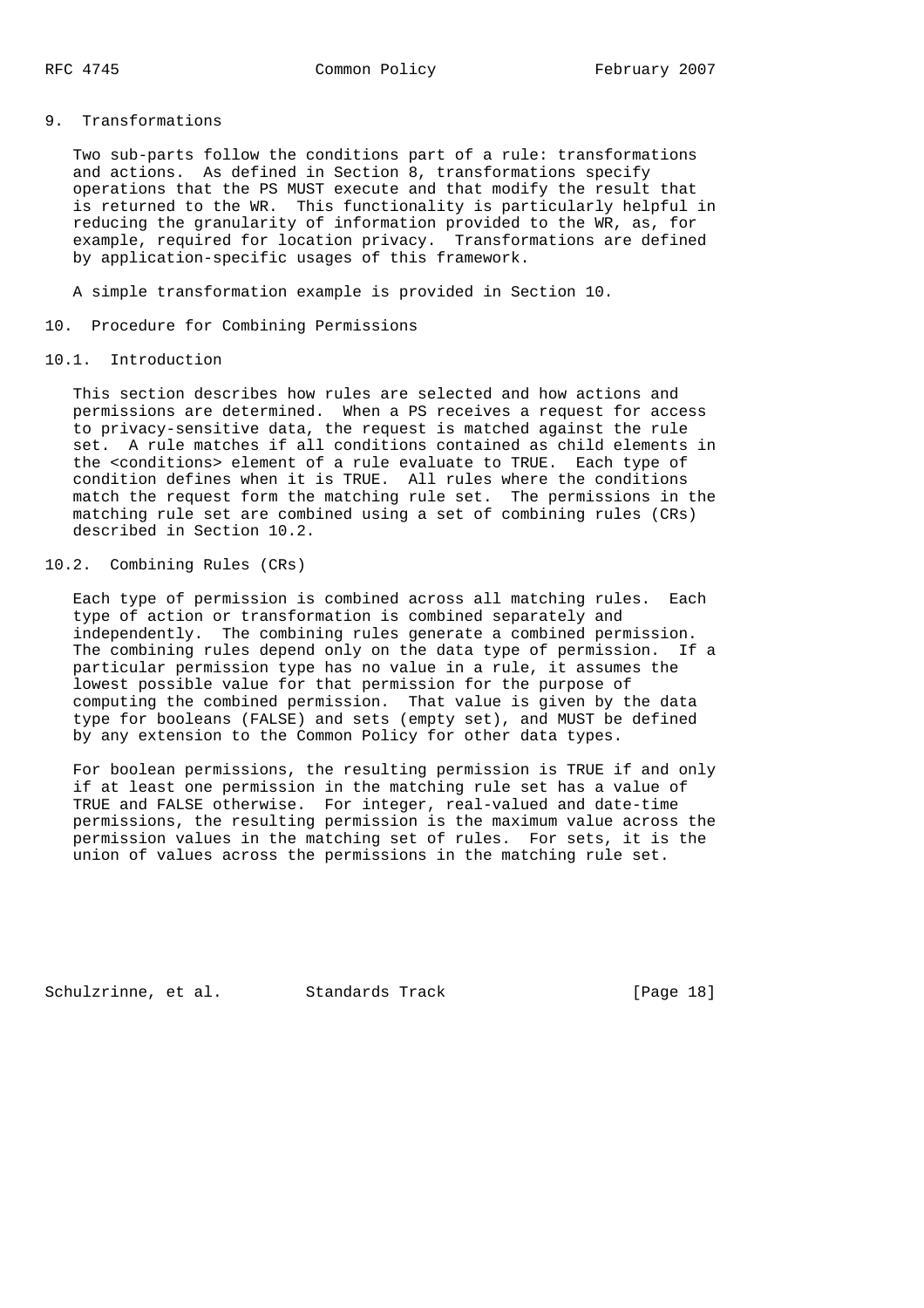# 9. Transformations

 Two sub-parts follow the conditions part of a rule: transformations and actions. As defined in Section 8, transformations specify operations that the PS MUST execute and that modify the result that is returned to the WR. This functionality is particularly helpful in reducing the granularity of information provided to the WR, as, for example, required for location privacy. Transformations are defined by application-specific usages of this framework.

A simple transformation example is provided in Section 10.

#### 10. Procedure for Combining Permissions

### 10.1. Introduction

 This section describes how rules are selected and how actions and permissions are determined. When a PS receives a request for access to privacy-sensitive data, the request is matched against the rule set. A rule matches if all conditions contained as child elements in the <conditions> element of a rule evaluate to TRUE. Each type of condition defines when it is TRUE. All rules where the conditions match the request form the matching rule set. The permissions in the matching rule set are combined using a set of combining rules (CRs) described in Section 10.2.

### 10.2. Combining Rules (CRs)

 Each type of permission is combined across all matching rules. Each type of action or transformation is combined separately and independently. The combining rules generate a combined permission. The combining rules depend only on the data type of permission. If a particular permission type has no value in a rule, it assumes the lowest possible value for that permission for the purpose of computing the combined permission. That value is given by the data type for booleans (FALSE) and sets (empty set), and MUST be defined by any extension to the Common Policy for other data types.

 For boolean permissions, the resulting permission is TRUE if and only if at least one permission in the matching rule set has a value of TRUE and FALSE otherwise. For integer, real-valued and date-time permissions, the resulting permission is the maximum value across the permission values in the matching set of rules. For sets, it is the union of values across the permissions in the matching rule set.

Schulzrinne, et al. Standards Track [Page 18]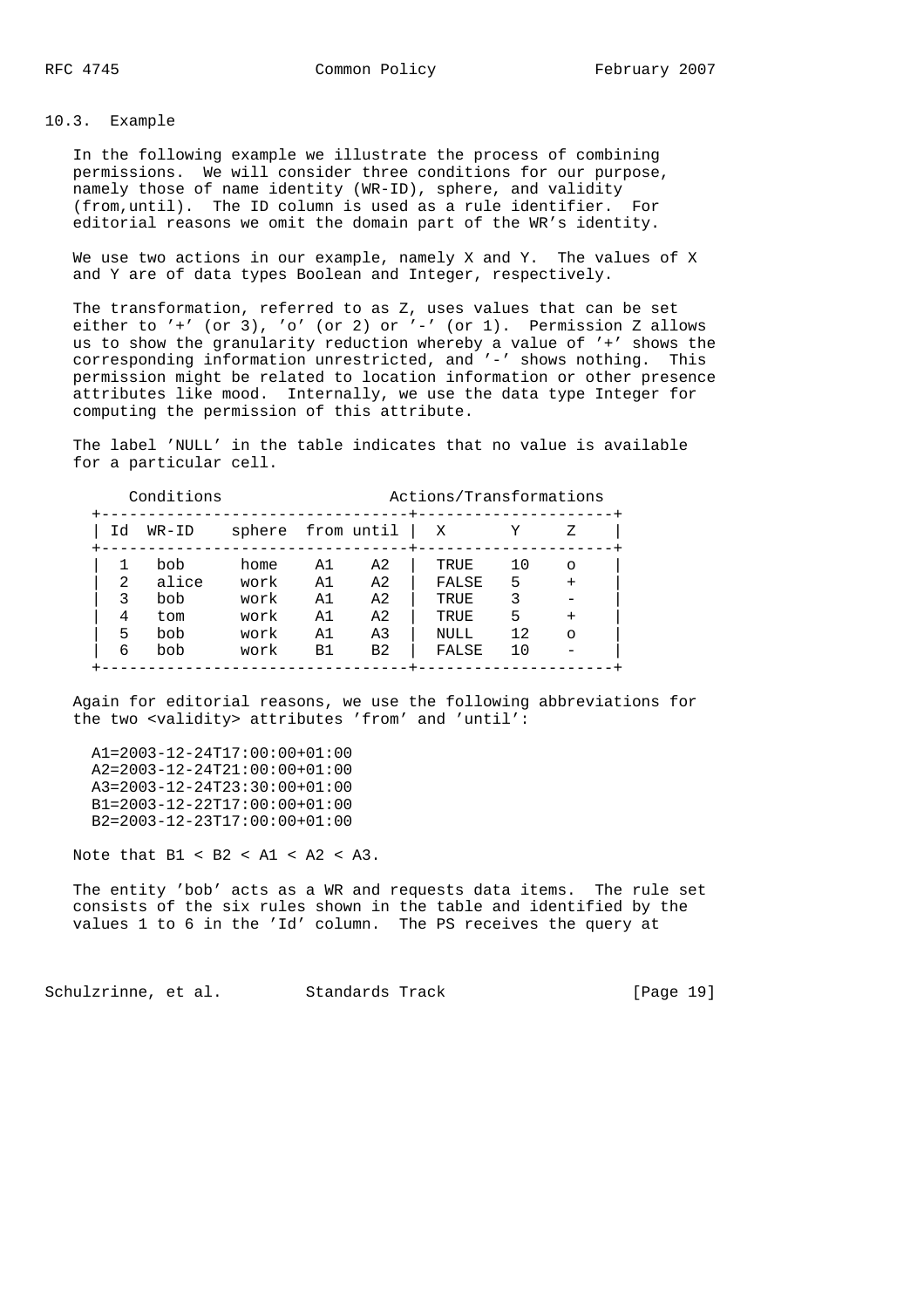# 10.3. Example

 In the following example we illustrate the process of combining permissions. We will consider three conditions for our purpose, namely those of name identity (WR-ID), sphere, and validity (from,until). The ID column is used as a rule identifier. For editorial reasons we omit the domain part of the WR's identity.

 We use two actions in our example, namely X and Y. The values of X and Y are of data types Boolean and Integer, respectively.

 The transformation, referred to as Z, uses values that can be set either to  $'$ +' (or 3), 'o' (or 2) or  $'-'$  (or 1). Permission Z allows us to show the granularity reduction whereby a value of '+' shows the corresponding information unrestricted, and '-' shows nothing. This permission might be related to location information or other presence attributes like mood. Internally, we use the data type Integer for computing the permission of this attribute.

 The label 'NULL' in the table indicates that no value is available for a particular cell.

|                | Conditions |                   | Actions/Transformations |                |       |     |           |  |
|----------------|------------|-------------------|-------------------------|----------------|-------|-----|-----------|--|
| Id             | WR-ID      | sphere from until |                         |                | X     |     | 7.        |  |
|                | bob        | home              | A1                      | A <sub>2</sub> | TRUE  | 10  | $\Omega$  |  |
| $\mathfrak{D}$ | alice      | work              | A1                      | A <sub>2</sub> | FALSE | 5   |           |  |
| 3              | bob        | work              | A1                      | A <sub>2</sub> | TRUE  | 3   |           |  |
| 4              | tom        | work              | A1                      | A <sub>2</sub> | TRUE  | 5   | $\ddot{}$ |  |
| 5              | bob        | work              | A1                      | A <sub>3</sub> | NULL  | 12. | $\Omega$  |  |
| 6              | bob        | work              | B1                      | B <sub>2</sub> | FALSE | 10  |           |  |

 Again for editorial reasons, we use the following abbreviations for the two <validity> attributes 'from' and 'until':

 A1=2003-12-24T17:00:00+01:00 A2=2003-12-24T21:00:00+01:00 A3=2003-12-24T23:30:00+01:00 B1=2003-12-22T17:00:00+01:00 B2=2003-12-23T17:00:00+01:00

Note that  $B1 < B2 < A1 < A2 < A3$ .

 The entity 'bob' acts as a WR and requests data items. The rule set consists of the six rules shown in the table and identified by the values 1 to 6 in the 'Id' column. The PS receives the query at

Schulzrinne, et al. Standards Track [Page 19]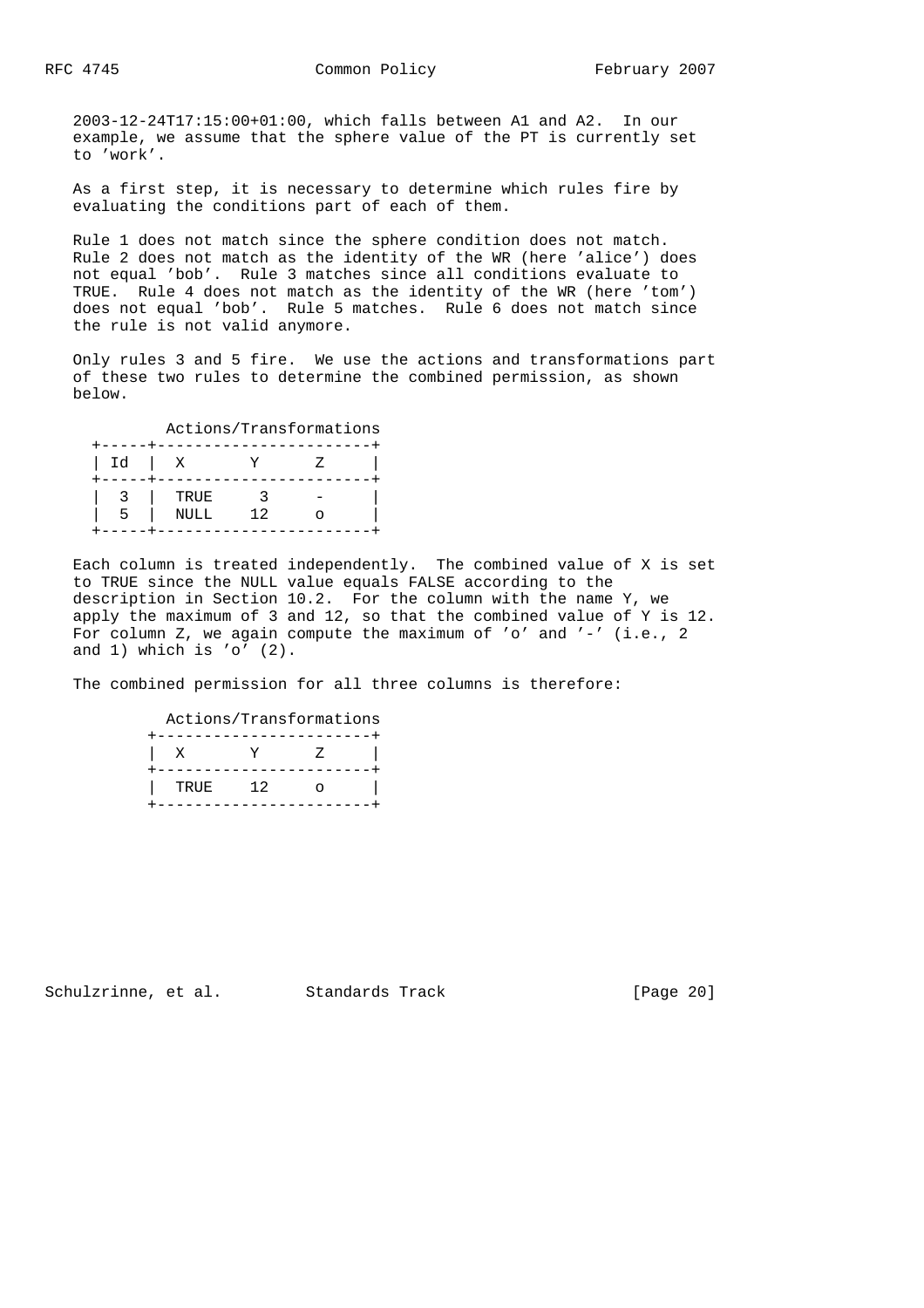2003-12-24T17:15:00+01:00, which falls between A1 and A2. In our example, we assume that the sphere value of the PT is currently set to 'work'.

 As a first step, it is necessary to determine which rules fire by evaluating the conditions part of each of them.

 Rule 1 does not match since the sphere condition does not match. Rule 2 does not match as the identity of the WR (here 'alice') does not equal 'bob'. Rule 3 matches since all conditions evaluate to TRUE. Rule 4 does not match as the identity of the WR (here 'tom') does not equal 'bob'. Rule 5 matches. Rule 6 does not match since the rule is not valid anymore.

 Only rules 3 and 5 fire. We use the actions and transformations part of these two rules to determine the combined permission, as shown below.

|      | - - - - - |    |  |
|------|-----------|----|--|
| ` Id | X         |    |  |
|      |           |    |  |
|      | TRUE      |    |  |
| ר    | NULL      | 12 |  |
|      |           |    |  |

 Each column is treated independently. The combined value of X is set to TRUE since the NULL value equals FALSE according to the description in Section 10.2. For the column with the name Y, we apply the maximum of 3 and 12, so that the combined value of Y is 12. For column Z, we again compute the maximum of 'o' and '-' (i.e., 2 and  $1)$  which is 'o'  $(2)$ .

The combined permission for all three columns is therefore:

 Actions/Transformations +-----------------------+ | X Y Z | +-----------------------+ | TRUE 12 o |

+-----------------------+

Schulzrinne, et al. Standards Track [Page 20]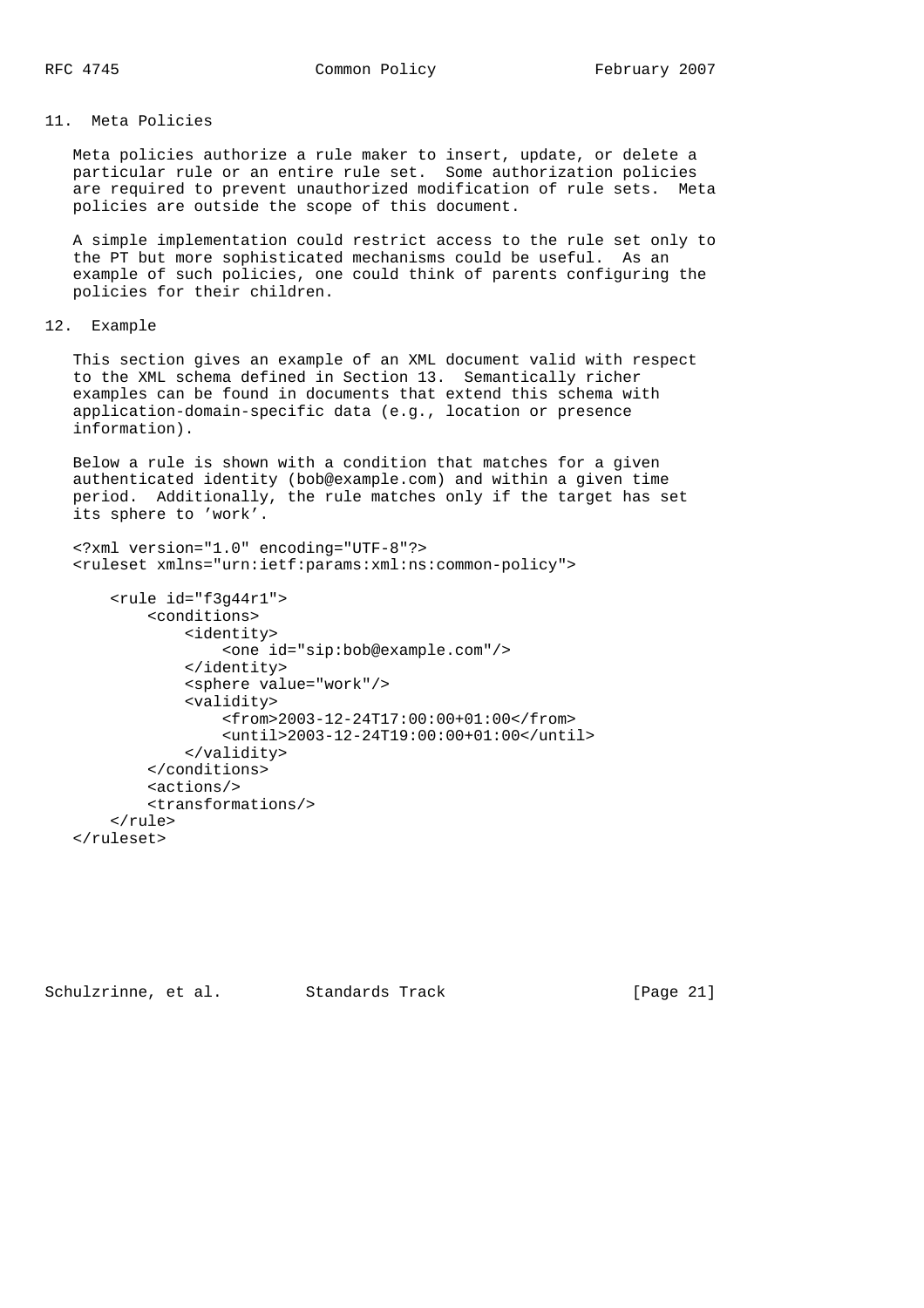# 11. Meta Policies

 Meta policies authorize a rule maker to insert, update, or delete a particular rule or an entire rule set. Some authorization policies are required to prevent unauthorized modification of rule sets. Meta policies are outside the scope of this document.

 A simple implementation could restrict access to the rule set only to the PT but more sophisticated mechanisms could be useful. As an example of such policies, one could think of parents configuring the policies for their children.

# 12. Example

 This section gives an example of an XML document valid with respect to the XML schema defined in Section 13. Semantically richer examples can be found in documents that extend this schema with application-domain-specific data (e.g., location or presence information).

 Below a rule is shown with a condition that matches for a given authenticated identity (bob@example.com) and within a given time period. Additionally, the rule matches only if the target has set its sphere to 'work'.

```
 <?xml version="1.0" encoding="UTF-8"?>
 <ruleset xmlns="urn:ietf:params:xml:ns:common-policy">
```

```
 <rule id="f3g44r1">
         <conditions>
             <identity>
                  <one id="sip:bob@example.com"/>
             </identity>
             <sphere value="work"/>
             <validity>
                  <from>2003-12-24T17:00:00+01:00</from>
                  <until>2003-12-24T19:00:00+01:00</until>
              </validity>
         </conditions>
         <actions/>
         <transformations/>
     </rule>
 </ruleset>
```
Schulzrinne, et al. Standards Track [Page 21]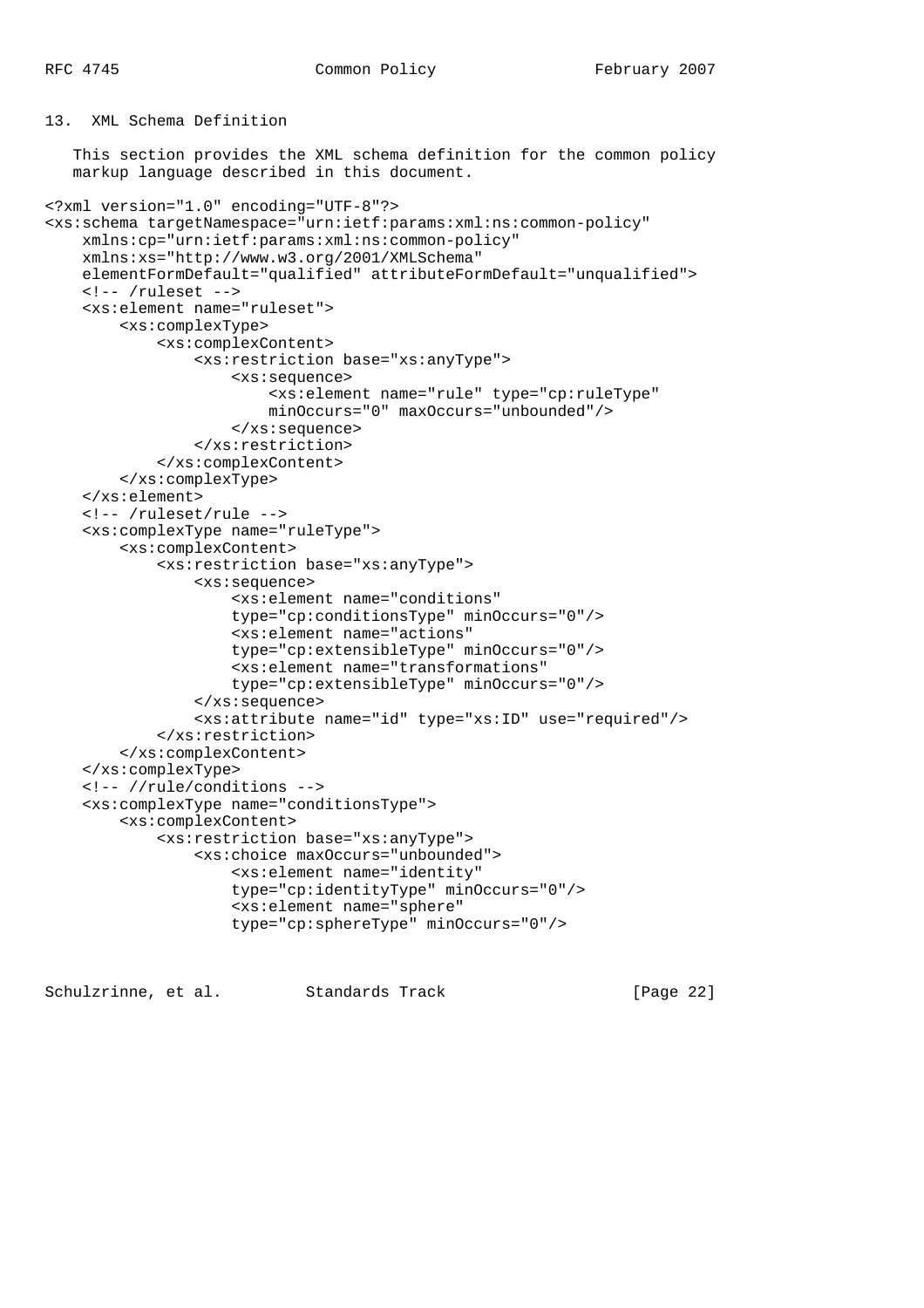## 13. XML Schema Definition

 This section provides the XML schema definition for the common policy markup language described in this document.

```
<?xml version="1.0" encoding="UTF-8"?>
<xs:schema targetNamespace="urn:ietf:params:xml:ns:common-policy"
    xmlns:cp="urn:ietf:params:xml:ns:common-policy"
    xmlns:xs="http://www.w3.org/2001/XMLSchema"
    elementFormDefault="qualified" attributeFormDefault="unqualified">
     <!-- /ruleset -->
     <xs:element name="ruleset">
         <xs:complexType>
             <xs:complexContent>
                 <xs:restriction base="xs:anyType">
                     <xs:sequence>
                          <xs:element name="rule" type="cp:ruleType"
                          minOccurs="0" maxOccurs="unbounded"/>
                     </xs:sequence>
                 </xs:restriction>
             </xs:complexContent>
         </xs:complexType>
     </xs:element>
     <!-- /ruleset/rule -->
     <xs:complexType name="ruleType">
         <xs:complexContent>
             <xs:restriction base="xs:anyType">
                 <xs:sequence>
                     <xs:element name="conditions"
                     type="cp:conditionsType" minOccurs="0"/>
                     <xs:element name="actions"
                     type="cp:extensibleType" minOccurs="0"/>
                     <xs:element name="transformations"
                     type="cp:extensibleType" minOccurs="0"/>
                 </xs:sequence>
                 <xs:attribute name="id" type="xs:ID" use="required"/>
             </xs:restriction>
         </xs:complexContent>
     </xs:complexType>
     <!-- //rule/conditions -->
     <xs:complexType name="conditionsType">
         <xs:complexContent>
             <xs:restriction base="xs:anyType">
                 <xs:choice maxOccurs="unbounded">
                     <xs:element name="identity"
                     type="cp:identityType" minOccurs="0"/>
                     <xs:element name="sphere"
                     type="cp:sphereType" minOccurs="0"/>
```
Schulzrinne, et al. Standards Track [Page 22]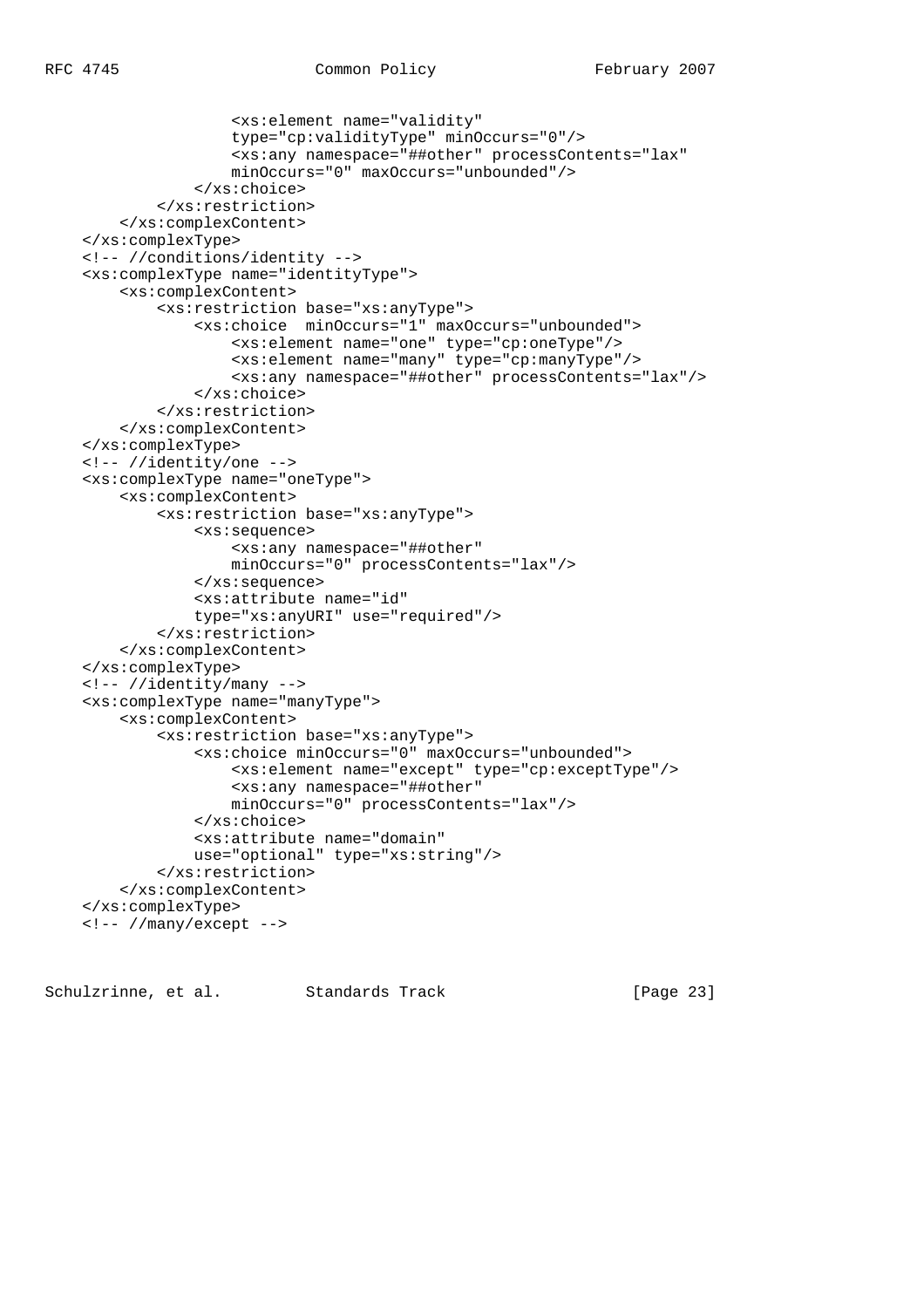```
 <xs:element name="validity"
                 type="cp:validityType" minOccurs="0"/>
                 <xs:any namespace="##other" processContents="lax"
                 minOccurs="0" maxOccurs="unbounded"/>
             </xs:choice>
         </xs:restriction>
     </xs:complexContent>
 </xs:complexType>
 <!-- //conditions/identity -->
 <xs:complexType name="identityType">
     <xs:complexContent>
         <xs:restriction base="xs:anyType">
             <xs:choice minOccurs="1" maxOccurs="unbounded">
                 <xs:element name="one" type="cp:oneType"/>
                 <xs:element name="many" type="cp:manyType"/>
                 <xs:any namespace="##other" processContents="lax"/>
             </xs:choice>
         </xs:restriction>
     </xs:complexContent>
 </xs:complexType>
 <!-- //identity/one -->
 <xs:complexType name="oneType">
     <xs:complexContent>
         <xs:restriction base="xs:anyType">
             <xs:sequence>
                 <xs:any namespace="##other"
                 minOccurs="0" processContents="lax"/>
             </xs:sequence>
             <xs:attribute name="id"
             type="xs:anyURI" use="required"/>
         </xs:restriction>
     </xs:complexContent>
 </xs:complexType>
 <!-- //identity/many -->
 <xs:complexType name="manyType">
     <xs:complexContent>
         <xs:restriction base="xs:anyType">
             <xs:choice minOccurs="0" maxOccurs="unbounded">
                 <xs:element name="except" type="cp:exceptType"/>
                 <xs:any namespace="##other"
                 minOccurs="0" processContents="lax"/>
             </xs:choice>
             <xs:attribute name="domain"
             use="optional" type="xs:string"/>
         </xs:restriction>
     </xs:complexContent>
 </xs:complexType>
 <!-- //many/except -->
```
Schulzrinne, et al. Standards Track [Page 23]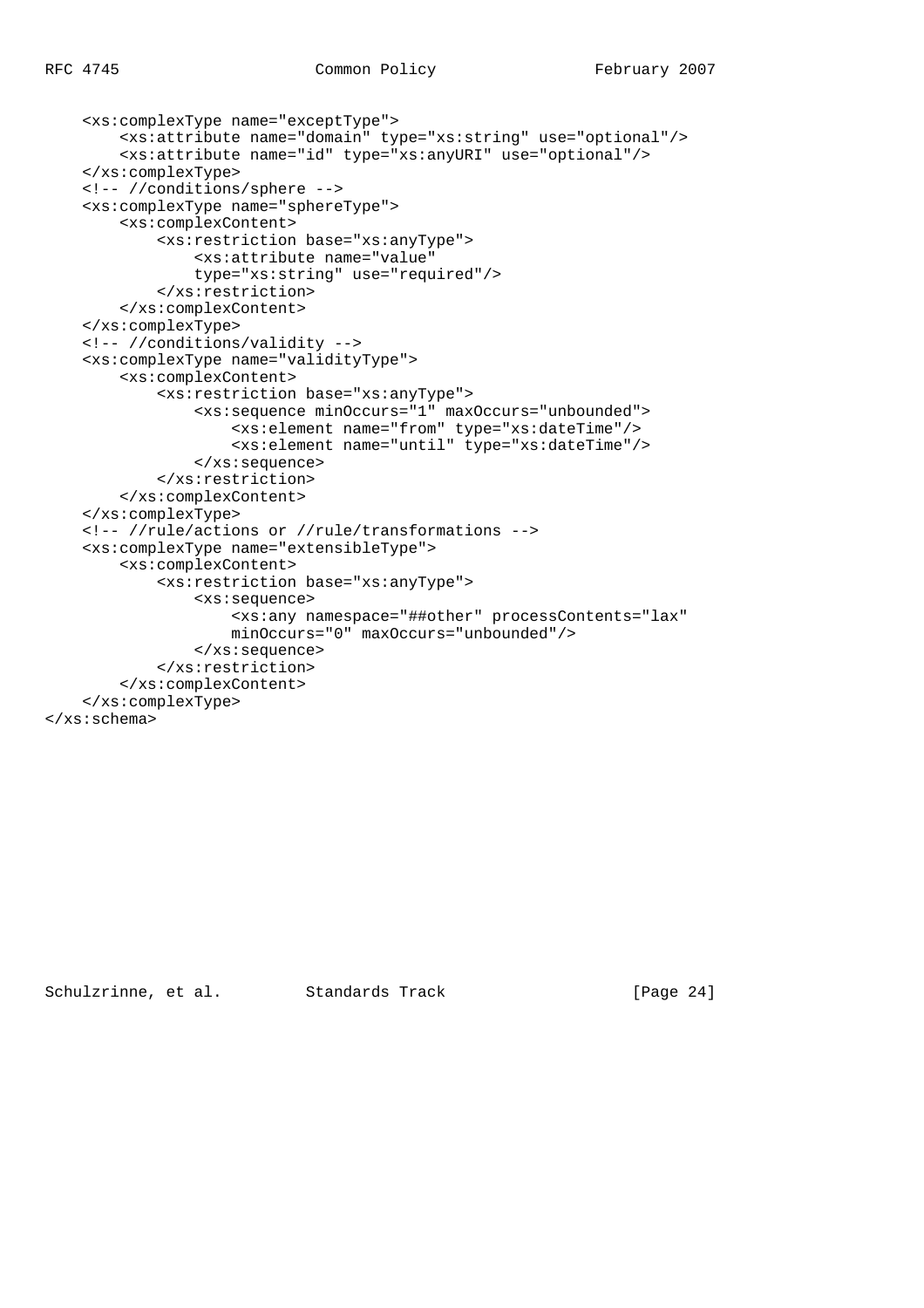```
 <xs:complexType name="exceptType">
         <xs:attribute name="domain" type="xs:string" use="optional"/>
         <xs:attribute name="id" type="xs:anyURI" use="optional"/>
     </xs:complexType>
     <!-- //conditions/sphere -->
     <xs:complexType name="sphereType">
         <xs:complexContent>
             <xs:restriction base="xs:anyType">
                 <xs:attribute name="value"
                 type="xs:string" use="required"/>
             </xs:restriction>
         </xs:complexContent>
     </xs:complexType>
     <!-- //conditions/validity -->
     <xs:complexType name="validityType">
         <xs:complexContent>
             <xs:restriction base="xs:anyType">
                 <xs:sequence minOccurs="1" maxOccurs="unbounded">
                     <xs:element name="from" type="xs:dateTime"/>
                     <xs:element name="until" type="xs:dateTime"/>
                 </xs:sequence>
             </xs:restriction>
         </xs:complexContent>
     </xs:complexType>
     <!-- //rule/actions or //rule/transformations -->
     <xs:complexType name="extensibleType">
         <xs:complexContent>
             <xs:restriction base="xs:anyType">
                 <xs:sequence>
                     <xs:any namespace="##other" processContents="lax"
                     minOccurs="0" maxOccurs="unbounded"/>
                 </xs:sequence>
             </xs:restriction>
         </xs:complexContent>
     </xs:complexType>
</xs:schema>
```
Schulzrinne, et al. Standards Track [Page 24]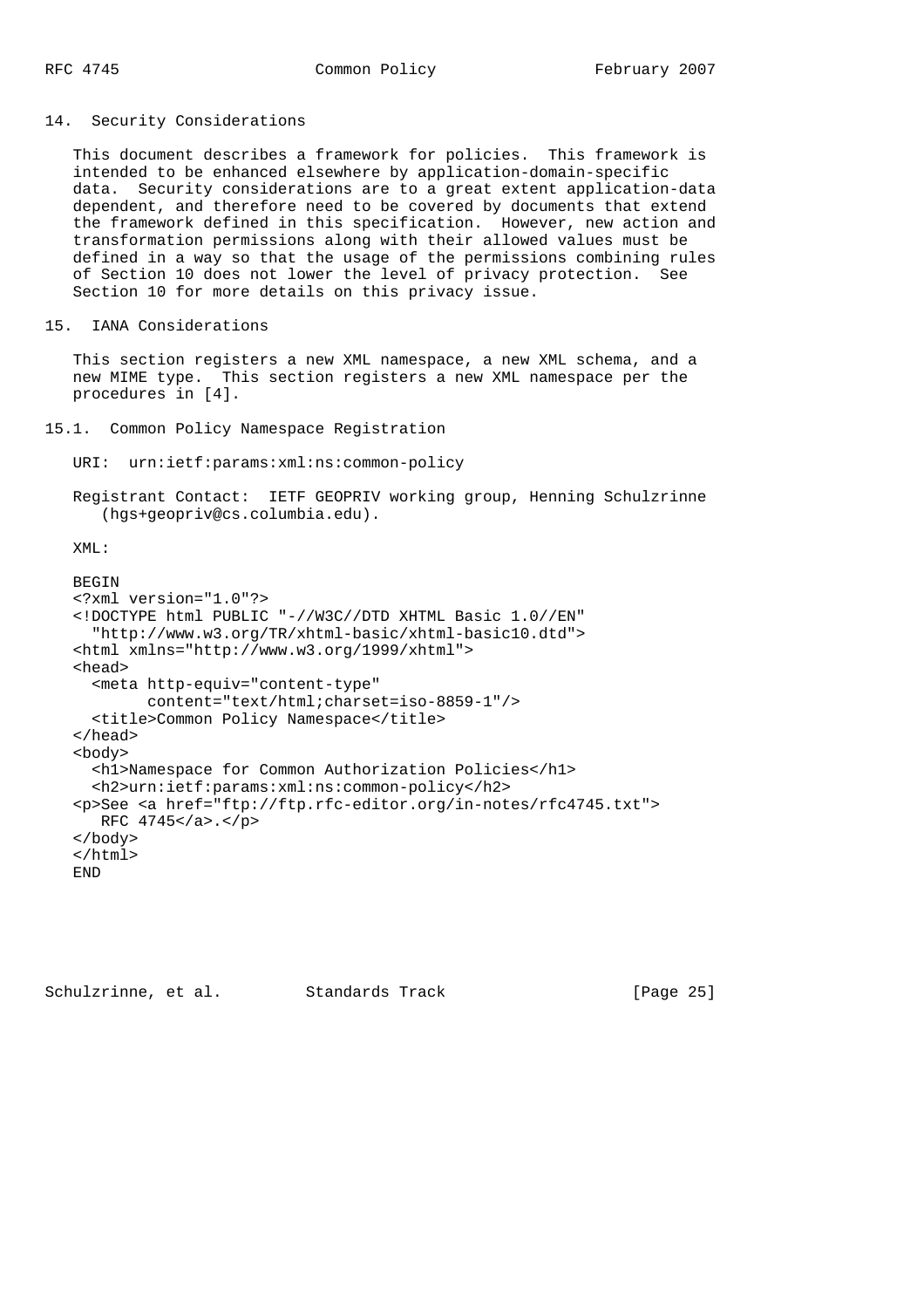#### 14. Security Considerations

 This document describes a framework for policies. This framework is intended to be enhanced elsewhere by application-domain-specific data. Security considerations are to a great extent application-data dependent, and therefore need to be covered by documents that extend the framework defined in this specification. However, new action and transformation permissions along with their allowed values must be defined in a way so that the usage of the permissions combining rules of Section 10 does not lower the level of privacy protection. See Section 10 for more details on this privacy issue.

```
15. IANA Considerations
```
 This section registers a new XML namespace, a new XML schema, and a new MIME type. This section registers a new XML namespace per the procedures in [4].

```
15.1. Common Policy Namespace Registration
```
URI: urn:ietf:params:xml:ns:common-policy

 Registrant Contact: IETF GEOPRIV working group, Henning Schulzrinne (hgs+geopriv@cs.columbia.edu).

 $XMT$ .:

```
BEGIN
 <?xml version="1.0"?>
 <!DOCTYPE html PUBLIC "-//W3C//DTD XHTML Basic 1.0//EN"
   "http://www.w3.org/TR/xhtml-basic/xhtml-basic10.dtd">
 <html xmlns="http://www.w3.org/1999/xhtml">
 <head>
   <meta http-equiv="content-type"
         content="text/html;charset=iso-8859-1"/>
  <title>Common Policy Namespace</title>
 </head>
 <body>
   <h1>Namespace for Common Authorization Policies</h1>
   <h2>urn:ietf:params:xml:ns:common-policy</h2>
 <p>See <a href="ftp://ftp.rfc-editor.org/in-notes/rfc4745.txt">
   RFC 4745</a>.</p>
 </body>
 </html>
 END
```
Schulzrinne, et al. Standards Track [Page 25]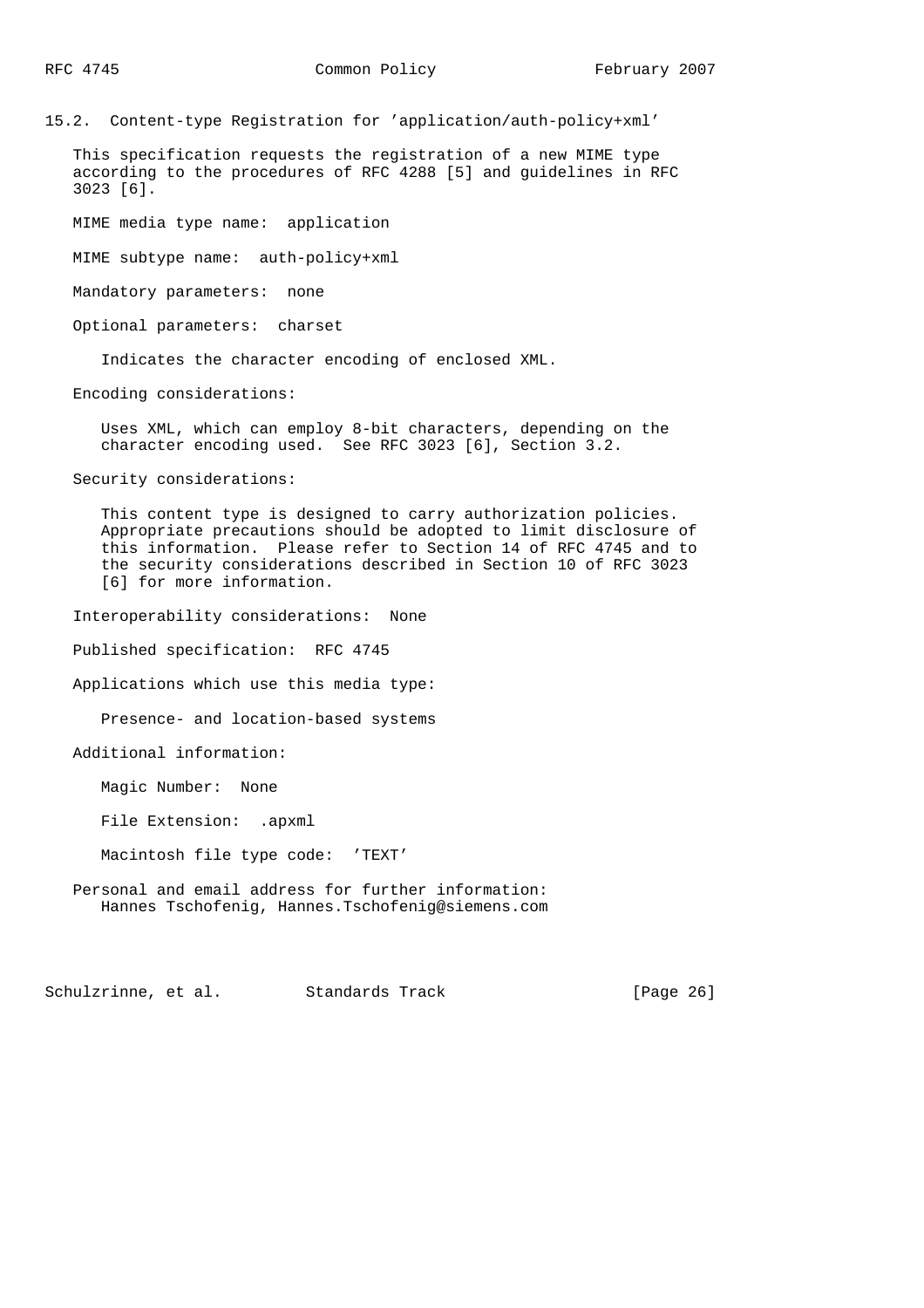15.2. Content-type Registration for 'application/auth-policy+xml'

 This specification requests the registration of a new MIME type according to the procedures of RFC 4288 [5] and guidelines in RFC 3023 [6].

MIME media type name: application

MIME subtype name: auth-policy+xml

Mandatory parameters: none

Optional parameters: charset

Indicates the character encoding of enclosed XML.

Encoding considerations:

 Uses XML, which can employ 8-bit characters, depending on the character encoding used. See RFC 3023 [6], Section 3.2.

Security considerations:

 This content type is designed to carry authorization policies. Appropriate precautions should be adopted to limit disclosure of this information. Please refer to Section 14 of RFC 4745 and to the security considerations described in Section 10 of RFC 3023 [6] for more information.

Interoperability considerations: None

Published specification: RFC 4745

Applications which use this media type:

Presence- and location-based systems

Additional information:

Magic Number: None

File Extension: .apxml

Macintosh file type code: 'TEXT'

 Personal and email address for further information: Hannes Tschofenig, Hannes.Tschofenig@siemens.com

Schulzrinne, et al. Standards Track [Page 26]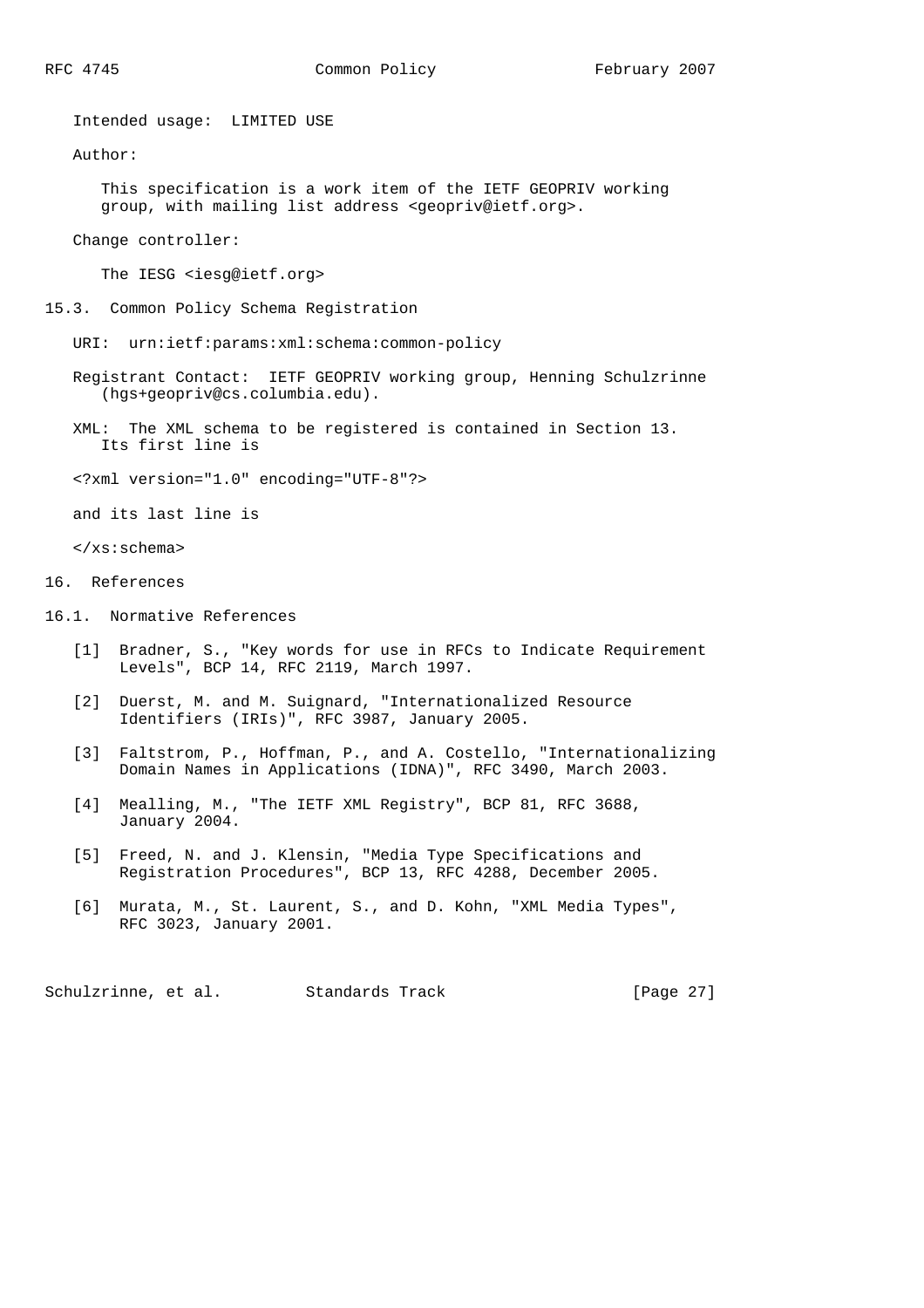Intended usage: LIMITED USE

Author:

 This specification is a work item of the IETF GEOPRIV working group, with mailing list address <geopriv@ietf.org>.

Change controller:

The IESG <iesg@ietf.org>

- 15.3. Common Policy Schema Registration
	- URI: urn:ietf:params:xml:schema:common-policy
	- Registrant Contact: IETF GEOPRIV working group, Henning Schulzrinne (hgs+geopriv@cs.columbia.edu).
	- XML: The XML schema to be registered is contained in Section 13. Its first line is
	- <?xml version="1.0" encoding="UTF-8"?>

and its last line is

</xs:schema>

- 16. References
- 16.1. Normative References
	- [1] Bradner, S., "Key words for use in RFCs to Indicate Requirement Levels", BCP 14, RFC 2119, March 1997.
	- [2] Duerst, M. and M. Suignard, "Internationalized Resource Identifiers (IRIs)", RFC 3987, January 2005.
	- [3] Faltstrom, P., Hoffman, P., and A. Costello, "Internationalizing Domain Names in Applications (IDNA)", RFC 3490, March 2003.
	- [4] Mealling, M., "The IETF XML Registry", BCP 81, RFC 3688, January 2004.
	- [5] Freed, N. and J. Klensin, "Media Type Specifications and Registration Procedures", BCP 13, RFC 4288, December 2005.
	- [6] Murata, M., St. Laurent, S., and D. Kohn, "XML Media Types", RFC 3023, January 2001.

Schulzrinne, et al. Standards Track [Page 27]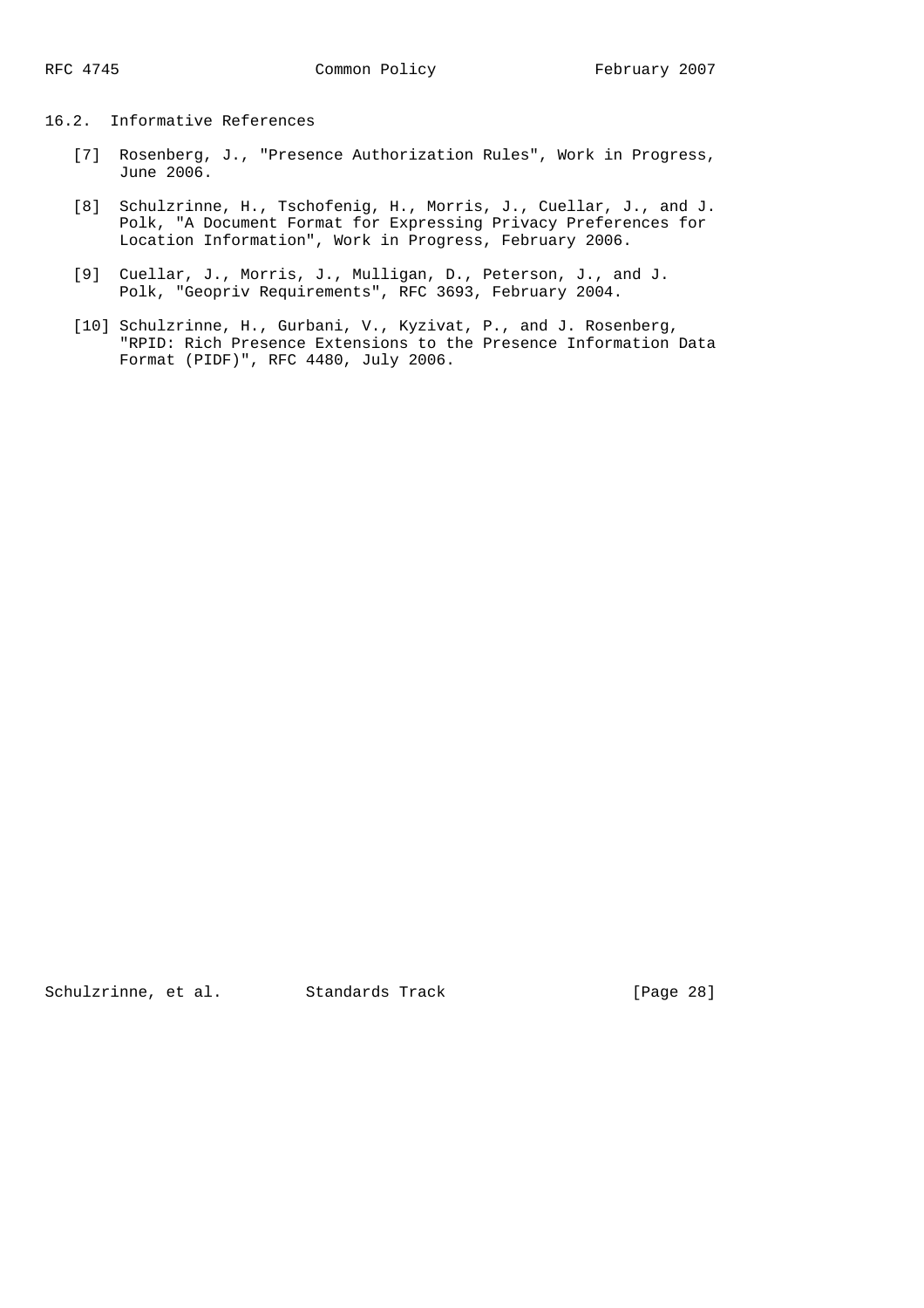# 16.2. Informative References

- [7] Rosenberg, J., "Presence Authorization Rules", Work in Progress, June 2006.
- [8] Schulzrinne, H., Tschofenig, H., Morris, J., Cuellar, J., and J. Polk, "A Document Format for Expressing Privacy Preferences for Location Information", Work in Progress, February 2006.
- [9] Cuellar, J., Morris, J., Mulligan, D., Peterson, J., and J. Polk, "Geopriv Requirements", RFC 3693, February 2004.
- [10] Schulzrinne, H., Gurbani, V., Kyzivat, P., and J. Rosenberg, "RPID: Rich Presence Extensions to the Presence Information Data Format (PIDF)", RFC 4480, July 2006.

Schulzrinne, et al. Standards Track [Page 28]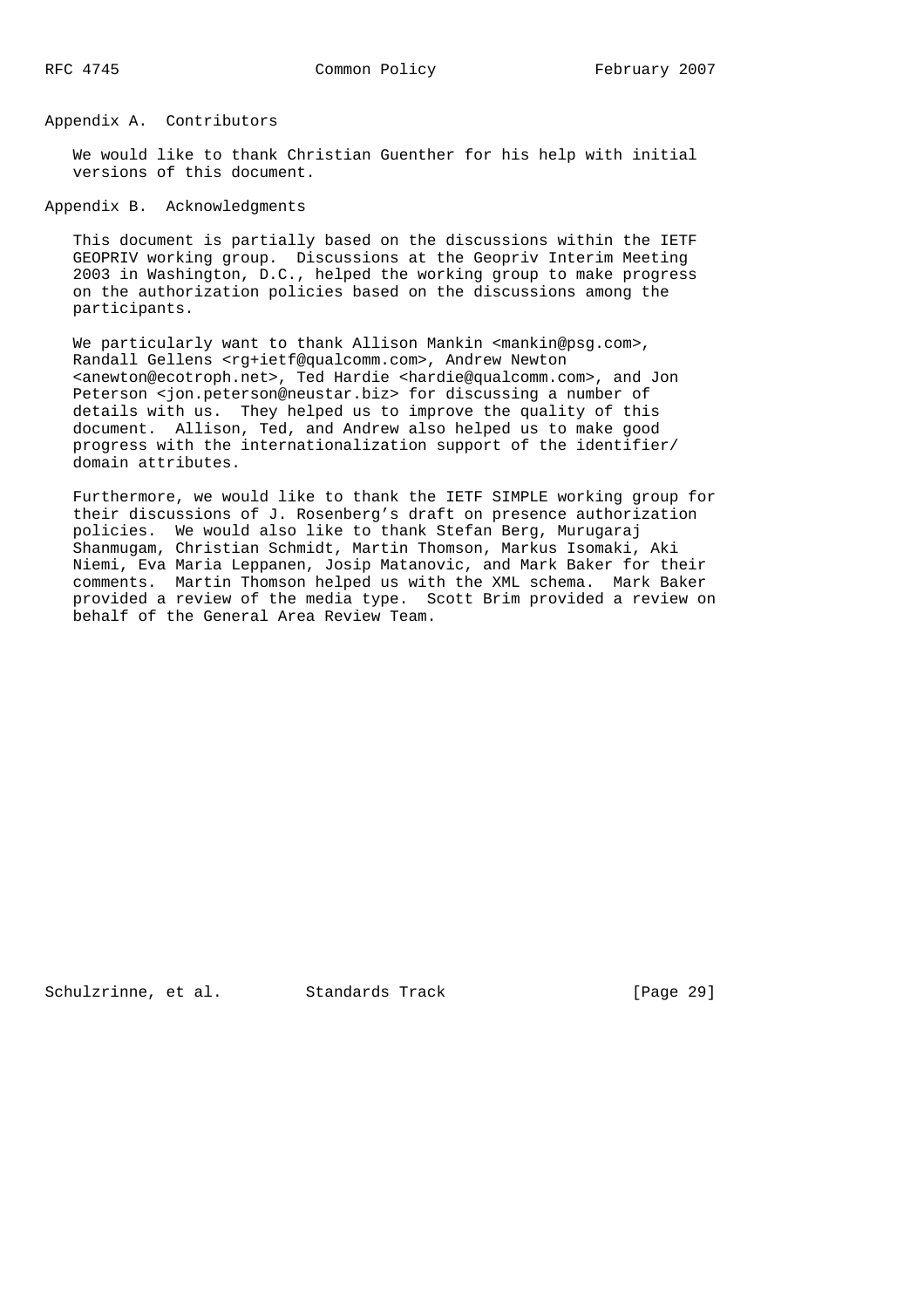## Appendix A. Contributors

 We would like to thank Christian Guenther for his help with initial versions of this document.

### Appendix B. Acknowledgments

 This document is partially based on the discussions within the IETF GEOPRIV working group. Discussions at the Geopriv Interim Meeting 2003 in Washington, D.C., helped the working group to make progress on the authorization policies based on the discussions among the participants.

We particularly want to thank Allison Mankin <mankin@psg.com>, Randall Gellens <rg+ietf@qualcomm.com>, Andrew Newton <anewton@ecotroph.net>, Ted Hardie <hardie@qualcomm.com>, and Jon Peterson <jon.peterson@neustar.biz> for discussing a number of details with us. They helped us to improve the quality of this document. Allison, Ted, and Andrew also helped us to make good progress with the internationalization support of the identifier/ domain attributes.

 Furthermore, we would like to thank the IETF SIMPLE working group for their discussions of J. Rosenberg's draft on presence authorization policies. We would also like to thank Stefan Berg, Murugaraj Shanmugam, Christian Schmidt, Martin Thomson, Markus Isomaki, Aki Niemi, Eva Maria Leppanen, Josip Matanovic, and Mark Baker for their comments. Martin Thomson helped us with the XML schema. Mark Baker provided a review of the media type. Scott Brim provided a review on behalf of the General Area Review Team.

Schulzrinne, et al. Standards Track [Page 29]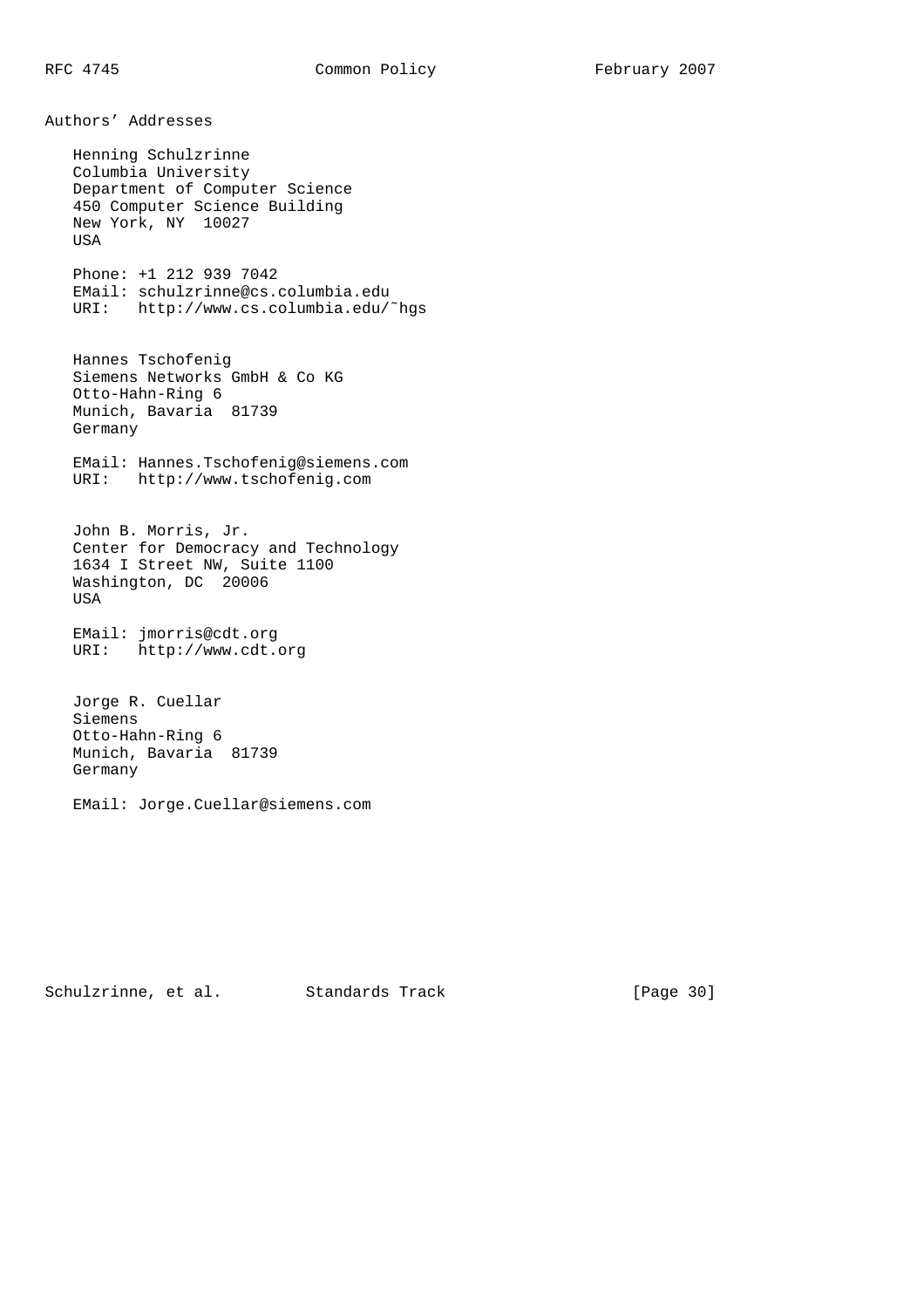Authors' Addresses Henning Schulzrinne Columbia University Department of Computer Science 450 Computer Science Building New York, NY 10027 USA Phone: +1 212 939 7042 EMail: schulzrinne@cs.columbia.edu URI: http://www.cs.columbia.edu/˜hgs Hannes Tschofenig Siemens Networks GmbH & Co KG Otto-Hahn-Ring 6 Munich, Bavaria 81739 Germany EMail: Hannes.Tschofenig@siemens.com URI: http://www.tschofenig.com John B. Morris, Jr. Center for Democracy and Technology 1634 I Street NW, Suite 1100 Washington, DC 20006 USA EMail: jmorris@cdt.org URI: http://www.cdt.org Jorge R. Cuellar Siemens Otto-Hahn-Ring 6 Munich, Bavaria 81739 Germany

EMail: Jorge.Cuellar@siemens.com

Schulzrinne, et al. Standards Track [Page 30]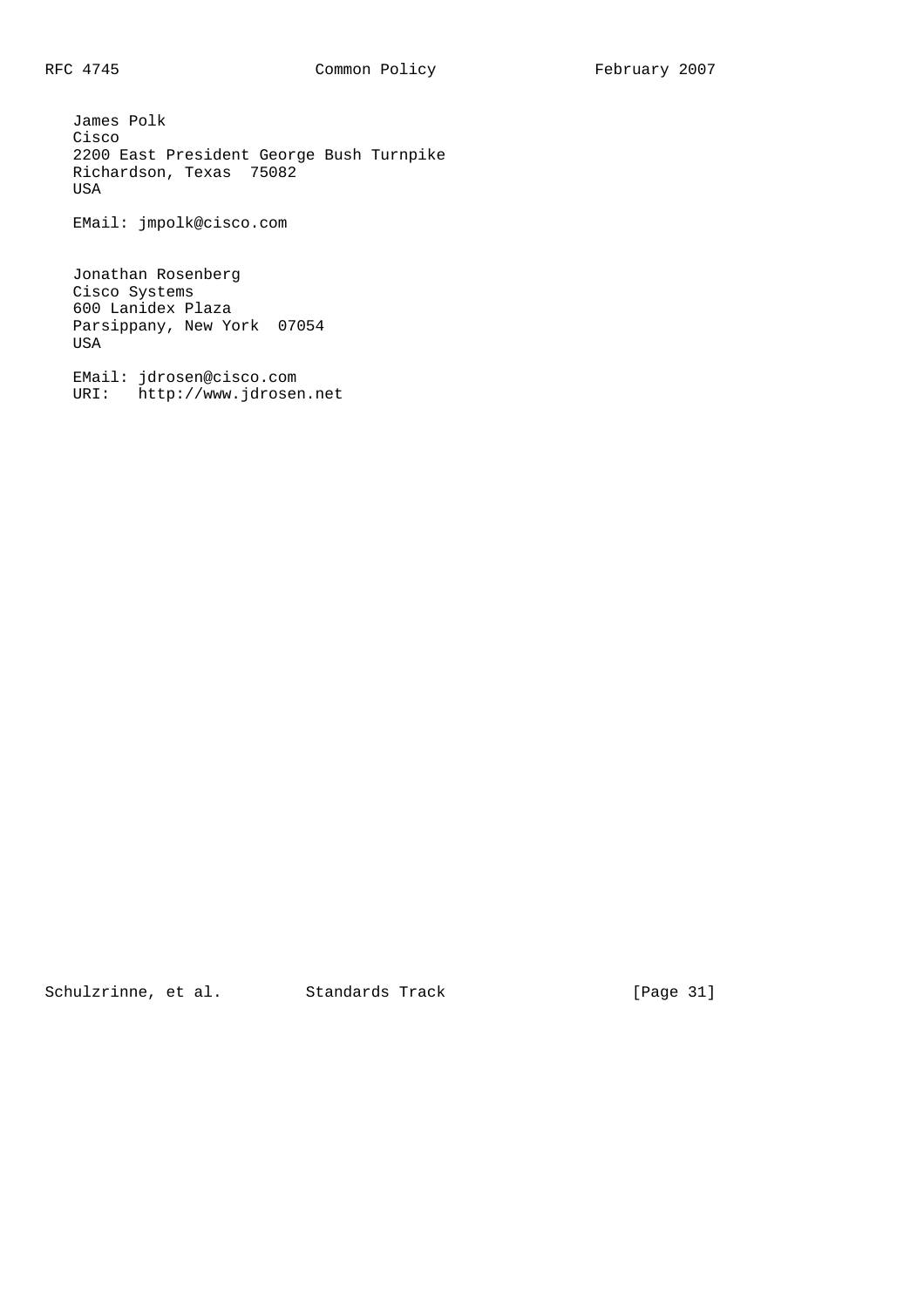James Polk Cisco 2200 East President George Bush Turnpike Richardson, Texas 75082 USA

EMail: jmpolk@cisco.com

 Jonathan Rosenberg Cisco Systems 600 Lanidex Plaza Parsippany, New York 07054 USA

 EMail: jdrosen@cisco.com URI: http://www.jdrosen.net

Schulzrinne, et al. Standards Track [Page 31]